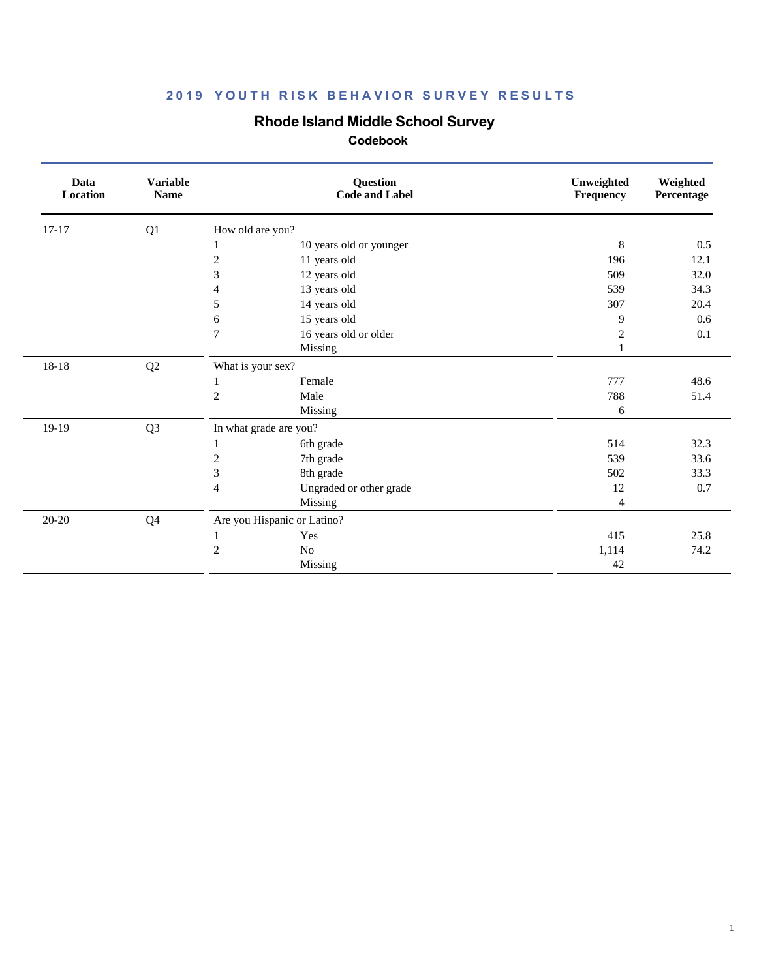## **Rhode Island Middle School Survey**

| Data<br>Location | <b>Variable</b><br><b>Name</b> |                             | Question<br><b>Code and Label</b> | Unweighted<br>Frequency | Weighted<br>Percentage |
|------------------|--------------------------------|-----------------------------|-----------------------------------|-------------------------|------------------------|
| $17-17$          | Q1                             | How old are you?            |                                   |                         |                        |
|                  |                                |                             | 10 years old or younger           | $\,8\,$                 | 0.5                    |
|                  |                                | $\overline{c}$              | 11 years old                      | 196                     | 12.1                   |
|                  |                                | 3                           | 12 years old                      | 509                     | 32.0                   |
|                  |                                | 4                           | 13 years old                      | 539                     | 34.3                   |
|                  |                                | 5                           | 14 years old                      | 307                     | 20.4                   |
|                  |                                | 6                           | 15 years old                      | 9                       | 0.6                    |
|                  |                                | 7                           | 16 years old or older             | $\overline{2}$          | 0.1                    |
|                  |                                |                             | Missing                           | 1                       |                        |
| 18-18            | Q2                             | What is your sex?           |                                   |                         |                        |
|                  |                                | 1                           | Female                            | 777                     | 48.6                   |
|                  |                                | $\overline{c}$              | Male                              | 788                     | 51.4                   |
|                  |                                |                             | Missing                           | 6                       |                        |
| 19-19            | Q <sub>3</sub>                 | In what grade are you?      |                                   |                         |                        |
|                  |                                | 1                           | 6th grade                         | 514                     | 32.3                   |
|                  |                                | 2                           | 7th grade                         | 539                     | 33.6                   |
|                  |                                | 3                           | 8th grade                         | 502                     | 33.3                   |
|                  |                                | $\overline{4}$              | Ungraded or other grade           | 12                      | $0.7\,$                |
|                  |                                |                             | Missing                           | $\overline{4}$          |                        |
| 20-20            | Q <sub>4</sub>                 | Are you Hispanic or Latino? |                                   |                         |                        |
|                  |                                | $\mathbf{1}$                | Yes                               | 415                     | 25.8                   |
|                  |                                | 2                           | No                                | 1,114                   | 74.2                   |
|                  |                                |                             | Missing                           | 42                      |                        |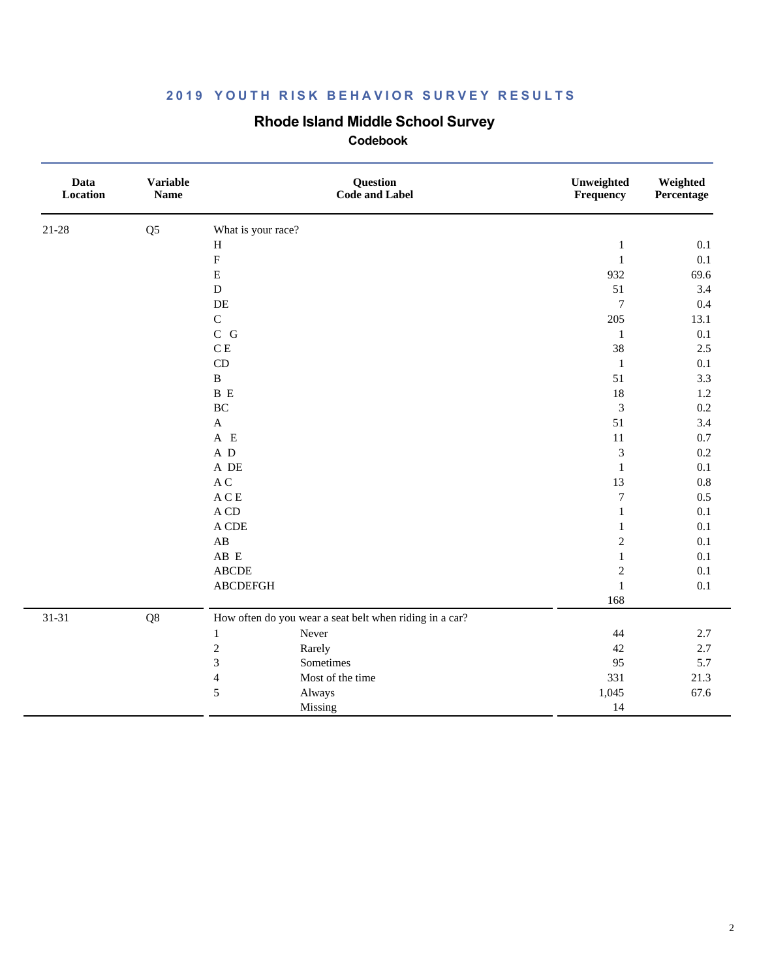## **Rhode Island Middle School Survey**

| Data<br>Location | <b>Variable</b><br><b>Name</b> |                                 | Question<br><b>Code and Label</b>                       | Unweighted<br>Frequency | Weighted<br>Percentage |
|------------------|--------------------------------|---------------------------------|---------------------------------------------------------|-------------------------|------------------------|
| $21 - 28$        | Q <sub>5</sub>                 | What is your race?              |                                                         |                         |                        |
|                  |                                | $\, {\rm H}$                    |                                                         | $\mathbf{1}$            | 0.1                    |
|                  |                                | $\boldsymbol{\mathrm{F}}$       |                                                         | $\,1\,$                 | $0.1\,$                |
|                  |                                | E                               |                                                         | 932                     | 69.6                   |
|                  |                                | ${\bf D}$                       |                                                         | 51                      | 3.4                    |
|                  |                                | $\rm DE$                        |                                                         | $\boldsymbol{7}$        | 0.4                    |
|                  |                                | $\mathbf C$                     |                                                         | 205                     | 13.1                   |
|                  |                                | $C$ $G$                         |                                                         | $\mathbf{1}$            | 0.1                    |
|                  |                                | C E                             |                                                         | 38                      | 2.5                    |
|                  |                                | CD                              |                                                         | $\mathbf{1}$            | 0.1                    |
|                  |                                | $\, {\bf B}$                    |                                                         | 51                      | 3.3                    |
|                  |                                | $\, {\bf B} \,$ E               |                                                         | 18                      | $1.2\,$                |
|                  |                                | $\rm BC$                        |                                                         | $\mathfrak{Z}$          | $0.2\,$                |
|                  |                                | $\mathbf A$                     |                                                         | 51                      | 3.4                    |
|                  |                                | A E                             |                                                         | 11                      | 0.7                    |
|                  |                                | A D                             |                                                         | 3                       | 0.2                    |
|                  |                                | A DE                            |                                                         | $\mathbf{1}$            | 0.1                    |
|                  |                                | $\mathbf A$ C                   |                                                         | 13                      | 0.8                    |
|                  |                                | $\mathbf A \mathbf C \mathbf E$ |                                                         | $\boldsymbol{7}$        | 0.5                    |
|                  |                                | $\mathbf A$ CD                  |                                                         | $\mathbf{1}$            | 0.1                    |
|                  |                                | A CDE                           |                                                         | $\mathbf{1}$            | 0.1                    |
|                  |                                | $\mathbf{A}\mathbf{B}$          |                                                         | $\boldsymbol{2}$        | 0.1                    |
|                  |                                | AB E                            |                                                         | $\mathbf{1}$            | 0.1                    |
|                  |                                | ${\bf ABCDE}$                   |                                                         | $\boldsymbol{2}$        | 0.1                    |
|                  |                                | <b>ABCDEFGH</b>                 |                                                         | $\mathbf{1}$            | 0.1                    |
|                  |                                |                                 |                                                         | 168                     |                        |
| $31 - 31$        | Q8                             |                                 | How often do you wear a seat belt when riding in a car? |                         |                        |
|                  |                                | Never<br>$\mathbf{1}$           |                                                         | 44                      | 2.7                    |
|                  |                                | $\overline{c}$<br>Rarely        |                                                         | 42                      | 2.7                    |
|                  |                                | 3<br>Sometimes                  |                                                         | 95                      | 5.7                    |
|                  |                                | $\overline{\mathbf{4}}$         | Most of the time                                        | 331                     | 21.3                   |
|                  |                                | 5<br>Always                     |                                                         | 1,045                   | 67.6                   |
|                  |                                | Missing                         |                                                         | 14                      |                        |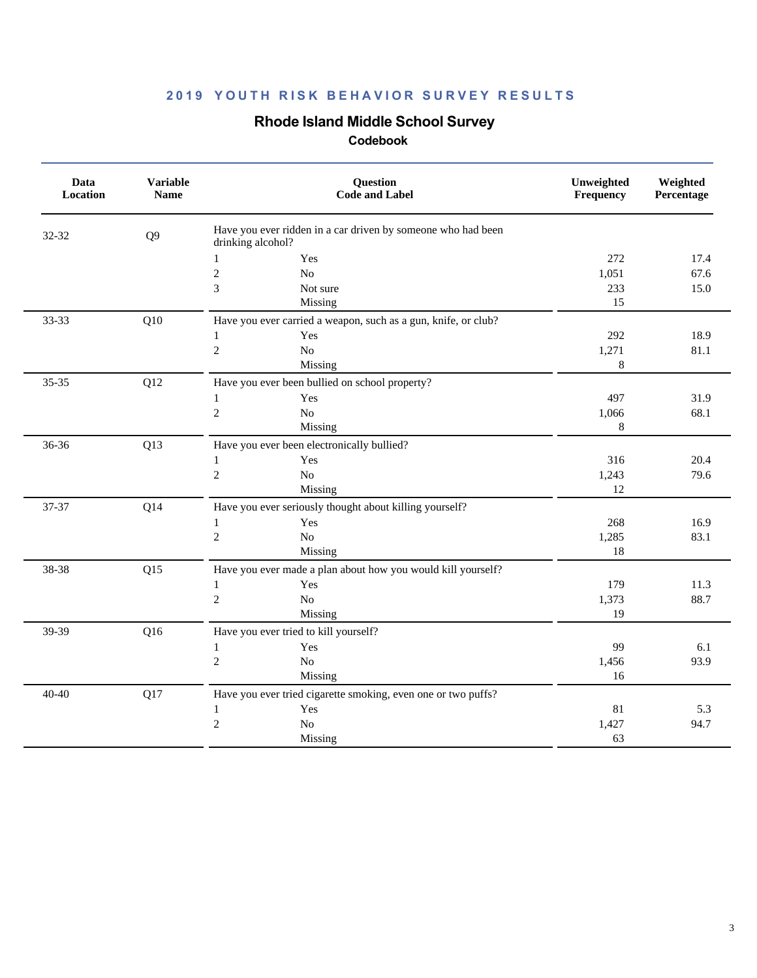## **Rhode Island Middle School Survey**

| Data<br>Location | <b>Variable</b><br><b>Name</b> | Question<br><b>Code and Label</b>                                                 | Unweighted<br>Frequency | Weighted<br>Percentage |
|------------------|--------------------------------|-----------------------------------------------------------------------------------|-------------------------|------------------------|
| 32-32            | Q <sub>9</sub>                 | Have you ever ridden in a car driven by someone who had been<br>drinking alcohol? |                         |                        |
|                  |                                | Yes<br>$\mathbf{1}$                                                               | 272                     | 17.4                   |
|                  |                                | $\overline{c}$<br>No                                                              | 1,051                   | 67.6                   |
|                  |                                | $\mathfrak 3$<br>Not sure                                                         | 233                     | 15.0                   |
|                  |                                | Missing                                                                           | 15                      |                        |
| 33-33            | Q10                            | Have you ever carried a weapon, such as a gun, knife, or club?                    |                         |                        |
|                  |                                | Yes<br>$\mathbf{1}$                                                               | 292                     | 18.9                   |
|                  |                                | $\sqrt{2}$<br>$\rm No$                                                            | 1,271                   | 81.1                   |
|                  |                                | Missing                                                                           | 8                       |                        |
| $35 - 35$        | Q12                            | Have you ever been bullied on school property?                                    |                         |                        |
|                  |                                | Yes<br>$\mathbf{1}$                                                               | 497                     | 31.9                   |
|                  |                                | $\sqrt{2}$<br>$\rm No$                                                            | 1,066                   | 68.1                   |
|                  |                                | Missing                                                                           | 8                       |                        |
| 36-36            | Q13                            | Have you ever been electronically bullied?                                        |                         |                        |
|                  |                                | Yes<br>$\mathbf{1}$                                                               | 316                     | 20.4                   |
|                  |                                | $\sqrt{2}$<br>$\rm No$                                                            | 1,243                   | 79.6                   |
|                  |                                | Missing                                                                           | 12                      |                        |
| 37-37            | Q14                            | Have you ever seriously thought about killing yourself?                           |                         |                        |
|                  |                                | Yes<br>$\mathbf{1}$                                                               | 268                     | 16.9                   |
|                  |                                | $\sqrt{2}$<br>No                                                                  | 1,285                   | 83.1                   |
|                  |                                | Missing                                                                           | 18                      |                        |
| 38-38            | Q15                            | Have you ever made a plan about how you would kill yourself?                      |                         |                        |
|                  |                                | $\mathbf{1}$<br>Yes                                                               | 179                     | 11.3                   |
|                  |                                | $\overline{c}$<br>No                                                              | 1,373                   | 88.7                   |
|                  |                                | Missing                                                                           | 19                      |                        |
| 39-39            | Q16                            | Have you ever tried to kill yourself?                                             |                         |                        |
|                  |                                | Yes<br>$\mathbf{1}$                                                               | 99                      | 6.1                    |
|                  |                                | $\overline{c}$<br>$\rm No$                                                        | 1,456                   | 93.9                   |
|                  |                                | Missing                                                                           | 16                      |                        |
| $40 - 40$        | Q17                            | Have you ever tried cigarette smoking, even one or two puffs?                     |                         |                        |
|                  |                                | Yes<br>$\mathbf{1}$                                                               | 81                      | 5.3                    |
|                  |                                | $\overline{c}$<br>$\rm No$                                                        | 1,427                   | 94.7                   |
|                  |                                | Missing                                                                           | 63                      |                        |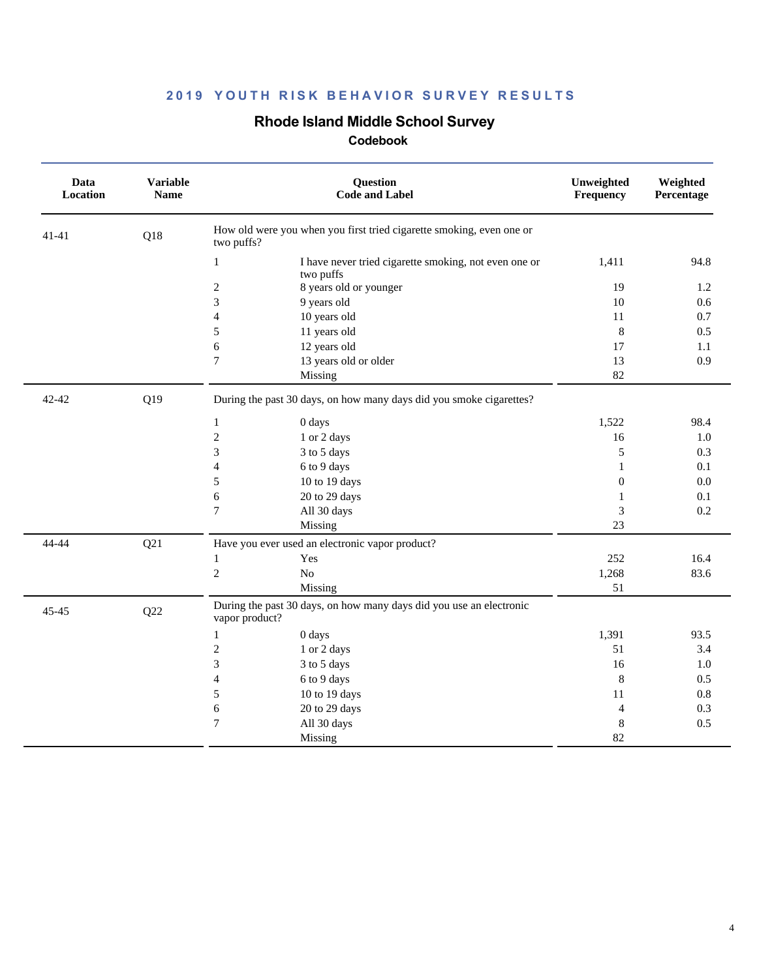## **Rhode Island Middle School Survey**

| Data<br>Location | <b>Variable</b><br><b>Name</b> | Question<br><b>Code and Label</b>                                                     | Unweighted<br>Frequency | Weighted<br>Percentage |
|------------------|--------------------------------|---------------------------------------------------------------------------------------|-------------------------|------------------------|
| 41-41            | Q18                            | How old were you when you first tried cigarette smoking, even one or<br>two puffs?    |                         |                        |
|                  |                                | $\mathbf{1}$<br>I have never tried cigarette smoking, not even one or<br>two puffs    | 1,411                   | 94.8                   |
|                  |                                | $\mathbf{2}$<br>8 years old or younger                                                | 19                      | 1.2                    |
|                  |                                | 3<br>9 years old                                                                      | 10                      | 0.6                    |
|                  |                                | 10 years old<br>4                                                                     | 11                      | 0.7                    |
|                  |                                | 11 years old<br>5                                                                     | $\,8\,$                 | 0.5                    |
|                  |                                | 12 years old<br>6                                                                     | 17                      | 1.1                    |
|                  |                                | 13 years old or older<br>7                                                            | 13                      | 0.9                    |
|                  |                                | Missing                                                                               | 82                      |                        |
| 42-42            | Q19                            | During the past 30 days, on how many days did you smoke cigarettes?                   |                         |                        |
|                  |                                | 0 days<br>$\mathbf{1}$                                                                | 1,522                   | 98.4                   |
|                  |                                | $\mathbf{2}$<br>1 or 2 days                                                           | 16                      | 1.0                    |
|                  |                                | 3<br>3 to 5 days                                                                      | 5                       | 0.3                    |
|                  |                                | $\overline{\mathcal{L}}$<br>6 to 9 days                                               | $\mathbf{1}$            | 0.1                    |
|                  |                                | 5<br>10 to 19 days                                                                    | $\boldsymbol{0}$        | 0.0                    |
|                  |                                | 6<br>20 to 29 days                                                                    | $\mathbf{1}$            | 0.1                    |
|                  |                                | All 30 days<br>$\overline{7}$                                                         | 3                       | 0.2                    |
|                  |                                | Missing                                                                               | 23                      |                        |
| 44-44            | Q21                            | Have you ever used an electronic vapor product?                                       |                         |                        |
|                  |                                | Yes<br>1                                                                              | 252                     | 16.4                   |
|                  |                                | $\overline{c}$<br>No                                                                  | 1,268                   | 83.6                   |
|                  |                                | Missing                                                                               | 51                      |                        |
| 45-45            | Q22                            | During the past 30 days, on how many days did you use an electronic<br>vapor product? |                         |                        |
|                  |                                | 0 days<br>$\mathbf{1}$                                                                | 1,391                   | 93.5                   |
|                  |                                | $\mathfrak{2}$<br>1 or 2 days                                                         | 51                      | 3.4                    |
|                  |                                | 3<br>3 to 5 days                                                                      | 16                      | 1.0                    |
|                  |                                | 6 to 9 days<br>4                                                                      | 8                       | 0.5                    |
|                  |                                | 5<br>10 to 19 days                                                                    | 11                      | $0.8\,$                |
|                  |                                | 6<br>20 to 29 days                                                                    | $\overline{4}$          | 0.3                    |
|                  |                                | $\tau$<br>All 30 days                                                                 | $\,8\,$                 | 0.5                    |
|                  |                                | Missing                                                                               | 82                      |                        |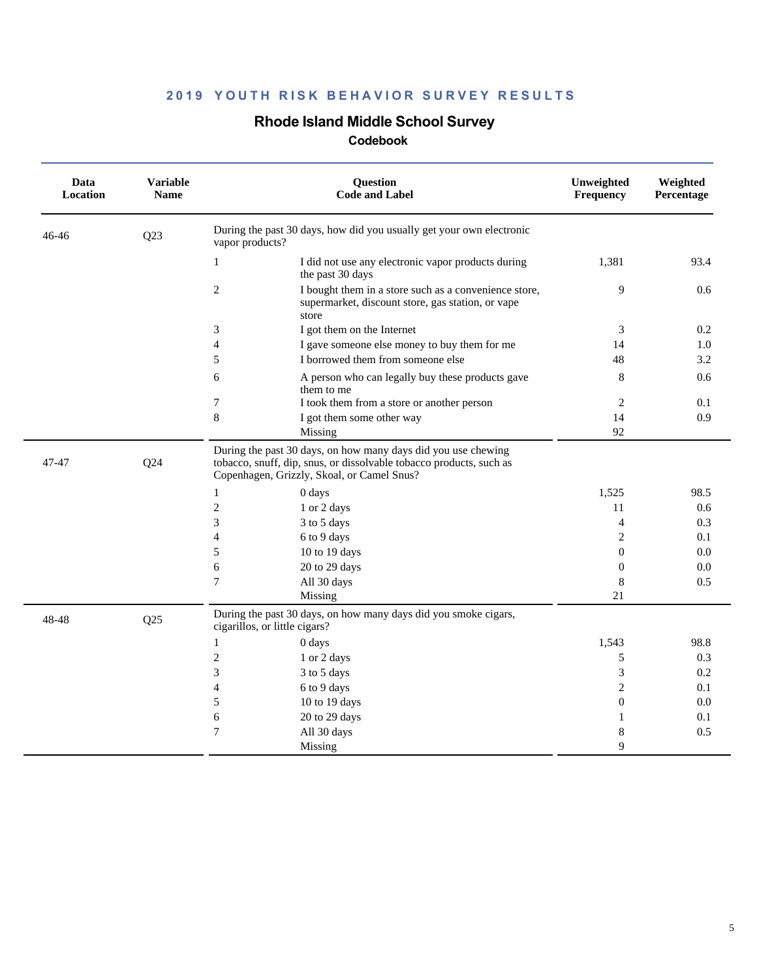## **Rhode Island Middle School Survey**

| Data<br>Location | <b>Variable</b><br><b>Name</b> | Question<br><b>Code and Label</b>                                                                                                                                                  | Unweighted<br>Frequency | Weighted<br>Percentage |
|------------------|--------------------------------|------------------------------------------------------------------------------------------------------------------------------------------------------------------------------------|-------------------------|------------------------|
| 46-46            | Q23                            | During the past 30 days, how did you usually get your own electronic<br>vapor products?                                                                                            |                         |                        |
|                  |                                | I did not use any electronic vapor products during<br>1<br>the past 30 days                                                                                                        | 1,381                   | 93.4                   |
|                  |                                | 2<br>I bought them in a store such as a convenience store,<br>supermarket, discount store, gas station, or vape<br>store                                                           | 9                       | 0.6                    |
|                  |                                | 3<br>I got them on the Internet                                                                                                                                                    | 3                       | 0.2                    |
|                  |                                | $\overline{4}$<br>I gave someone else money to buy them for me                                                                                                                     | 14                      | 1.0                    |
|                  |                                | 5<br>I borrowed them from someone else                                                                                                                                             | 48                      | 3.2                    |
|                  |                                | 6<br>A person who can legally buy these products gave<br>them to me                                                                                                                | 8                       | 0.6                    |
|                  |                                | 7<br>I took them from a store or another person                                                                                                                                    | 2                       | 0.1                    |
|                  |                                | 8<br>I got them some other way                                                                                                                                                     | 14                      | 0.9                    |
|                  |                                | Missing                                                                                                                                                                            | 92                      |                        |
| 47-47            | Q24                            | During the past 30 days, on how many days did you use chewing<br>tobacco, snuff, dip, snus, or dissolvable tobacco products, such as<br>Copenhagen, Grizzly, Skoal, or Camel Snus? |                         |                        |
|                  |                                | $\mathbf{1}$<br>0 days                                                                                                                                                             | 1,525                   | 98.5                   |
|                  |                                | $\overline{c}$<br>1 or 2 days                                                                                                                                                      | 11                      | 0.6                    |
|                  |                                | 3<br>3 to 5 days                                                                                                                                                                   | $\overline{4}$          | 0.3                    |
|                  |                                | 6 to 9 days<br>4                                                                                                                                                                   | $\mathfrak{2}$          | 0.1                    |
|                  |                                | 5<br>10 to 19 days                                                                                                                                                                 | $\Omega$                | 0.0                    |
|                  |                                | 6<br>20 to 29 days                                                                                                                                                                 | $\mathbf{0}$            | 0.0                    |
|                  |                                | 7<br>All 30 days                                                                                                                                                                   | 8                       | 0.5                    |
|                  |                                | Missing                                                                                                                                                                            | 21                      |                        |
| 48-48            | Q25                            | During the past 30 days, on how many days did you smoke cigars,<br>cigarillos, or little cigars?                                                                                   |                         |                        |
|                  |                                | 0 days<br>$\mathbf{1}$                                                                                                                                                             | 1,543                   | 98.8                   |
|                  |                                | $\mathfrak{2}$<br>1 or 2 days                                                                                                                                                      | 5                       | 0.3                    |
|                  |                                | 3<br>3 to 5 days                                                                                                                                                                   | 3                       | 0.2                    |
|                  |                                | 6 to 9 days<br>4                                                                                                                                                                   | $\overline{2}$          | 0.1                    |
|                  |                                | 5<br>10 to 19 days                                                                                                                                                                 | $\overline{0}$          | 0.0                    |
|                  |                                | 6<br>20 to 29 days                                                                                                                                                                 | 1                       | 0.1                    |
|                  |                                | 7<br>All 30 days                                                                                                                                                                   | 8                       | 0.5                    |
|                  |                                | Missing                                                                                                                                                                            | 9                       |                        |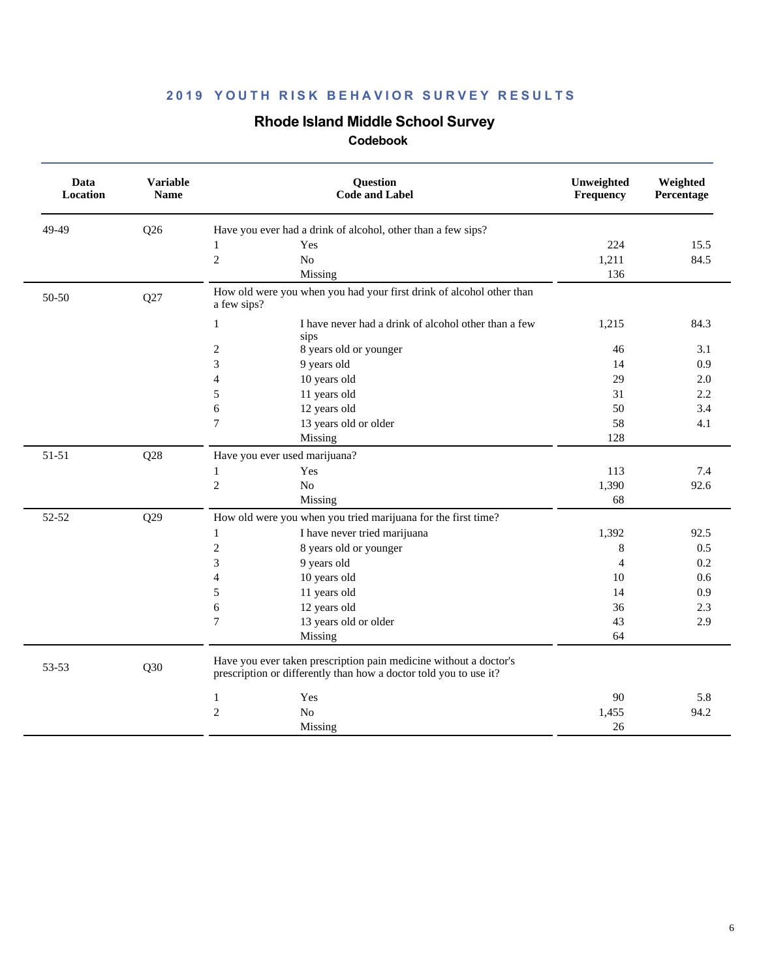## **Rhode Island Middle School Survey**

| Data<br>Location | <b>Variable</b><br><b>Name</b> | <b>Question</b><br><b>Code and Label</b>                                                                                               | Unweighted<br>Frequency | Weighted<br>Percentage |
|------------------|--------------------------------|----------------------------------------------------------------------------------------------------------------------------------------|-------------------------|------------------------|
| 49-49            | Q26                            | Have you ever had a drink of alcohol, other than a few sips?                                                                           |                         |                        |
|                  |                                | Yes<br>1                                                                                                                               | 224                     | 15.5                   |
|                  |                                | $\overline{2}$<br>N <sub>o</sub>                                                                                                       | 1,211                   | 84.5                   |
|                  |                                | Missing                                                                                                                                | 136                     |                        |
| 50-50            | Q27                            | How old were you when you had your first drink of alcohol other than<br>a few sips?                                                    |                         |                        |
|                  |                                | $\mathbf{1}$<br>I have never had a drink of alcohol other than a few<br>sips                                                           | 1,215                   | 84.3                   |
|                  |                                | $\overline{c}$<br>8 years old or younger                                                                                               | 46                      | 3.1                    |
|                  |                                | 3<br>9 years old                                                                                                                       | 14                      | 0.9                    |
|                  |                                | 10 years old<br>$\overline{4}$                                                                                                         | 29                      | 2.0                    |
|                  |                                | 11 years old<br>5                                                                                                                      | 31                      | 2.2                    |
|                  |                                | 12 years old<br>6                                                                                                                      | 50                      | 3.4                    |
|                  |                                | $\tau$<br>13 years old or older                                                                                                        | 58                      | 4.1                    |
|                  |                                | Missing                                                                                                                                | 128                     |                        |
| 51-51            | Q28                            | Have you ever used marijuana?                                                                                                          |                         |                        |
|                  |                                | Yes<br>1                                                                                                                               | 113                     | 7.4                    |
|                  |                                | $\overline{c}$<br>$\rm No$                                                                                                             | 1,390                   | 92.6                   |
|                  |                                | Missing                                                                                                                                | 68                      |                        |
| 52-52            | Q29                            | How old were you when you tried marijuana for the first time?                                                                          |                         |                        |
|                  |                                | I have never tried marijuana<br>$\mathbf{1}$                                                                                           | 1,392                   | 92.5                   |
|                  |                                | $\sqrt{2}$<br>8 years old or younger                                                                                                   | 8                       | 0.5                    |
|                  |                                | $\mathfrak{Z}$<br>9 years old                                                                                                          | $\overline{4}$          | 0.2                    |
|                  |                                | 10 years old<br>$\overline{4}$                                                                                                         | 10                      | 0.6                    |
|                  |                                | 5<br>11 years old                                                                                                                      | 14                      | 0.9                    |
|                  |                                | 12 years old<br>6                                                                                                                      | 36                      | 2.3                    |
|                  |                                | $\boldsymbol{7}$<br>13 years old or older                                                                                              | 43                      | 2.9                    |
|                  |                                | Missing                                                                                                                                | 64                      |                        |
| 53-53            | Q30                            | Have you ever taken prescription pain medicine without a doctor's<br>prescription or differently than how a doctor told you to use it? |                         |                        |
|                  |                                | Yes<br>1                                                                                                                               | 90                      | 5.8                    |
|                  |                                | $\overline{c}$<br>No                                                                                                                   | 1,455                   | 94.2                   |
|                  |                                | Missing                                                                                                                                | 26                      |                        |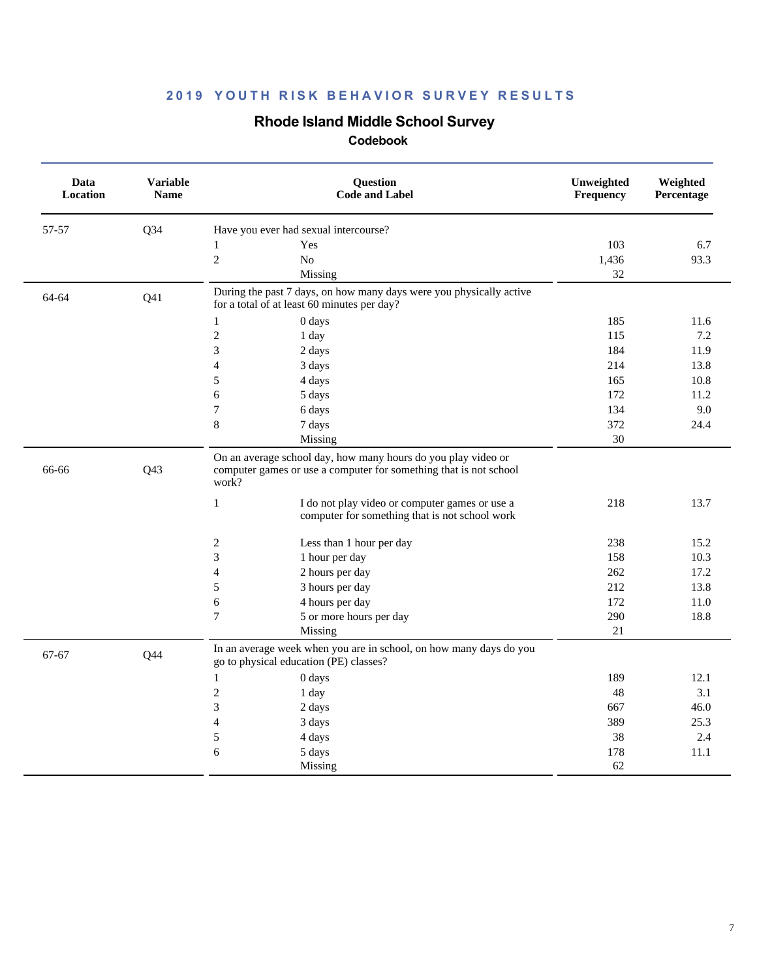## **Rhode Island Middle School Survey**

| Data<br>Location | Variable<br><b>Name</b> | <b>Question</b><br><b>Code and Label</b>                                                                                                                                                                      | Unweighted<br>Frequency | Weighted<br>Percentage |
|------------------|-------------------------|---------------------------------------------------------------------------------------------------------------------------------------------------------------------------------------------------------------|-------------------------|------------------------|
| 57-57            | $Q$ 34                  | Have you ever had sexual intercourse?                                                                                                                                                                         |                         |                        |
|                  |                         | Yes<br>$\mathbf{1}$                                                                                                                                                                                           | 103                     | 6.7                    |
|                  |                         | $\sqrt{2}$<br>N <sub>o</sub>                                                                                                                                                                                  | 1,436                   | 93.3                   |
|                  |                         | Missing                                                                                                                                                                                                       | 32                      |                        |
| 64-64            | Q <sub>41</sub>         | During the past 7 days, on how many days were you physically active<br>for a total of at least 60 minutes per day?                                                                                            |                         |                        |
|                  |                         | $\mathbf{1}$<br>0 days                                                                                                                                                                                        | 185                     | 11.6                   |
|                  |                         | $\sqrt{2}$<br>1 day                                                                                                                                                                                           | 115                     | 7.2                    |
|                  |                         | 3<br>2 days                                                                                                                                                                                                   | 184                     | 11.9                   |
|                  |                         | 4<br>3 days                                                                                                                                                                                                   | 214                     | 13.8                   |
|                  |                         | 5<br>4 days                                                                                                                                                                                                   | 165                     | 10.8                   |
|                  |                         | 6<br>5 days                                                                                                                                                                                                   | 172                     | 11.2                   |
|                  |                         | $\tau$<br>6 days                                                                                                                                                                                              | 134                     | 9.0                    |
|                  |                         | $\,8\,$<br>7 days                                                                                                                                                                                             | 372                     | 24.4                   |
|                  |                         | Missing                                                                                                                                                                                                       | 30                      |                        |
| 66-66            | Q43                     | On an average school day, how many hours do you play video or<br>computer games or use a computer for something that is not school<br>work?<br>$\mathbf{1}$<br>I do not play video or computer games or use a | 218                     | 13.7                   |
|                  |                         | computer for something that is not school work                                                                                                                                                                |                         |                        |
|                  |                         | 2<br>Less than 1 hour per day                                                                                                                                                                                 | 238                     | 15.2                   |
|                  |                         | 3<br>1 hour per day                                                                                                                                                                                           | 158                     | 10.3                   |
|                  |                         | $\overline{4}$<br>2 hours per day                                                                                                                                                                             | 262                     | 17.2                   |
|                  |                         | 5<br>3 hours per day                                                                                                                                                                                          | 212                     | 13.8                   |
|                  |                         | 6<br>4 hours per day                                                                                                                                                                                          | 172                     | 11.0                   |
|                  |                         | 7<br>5 or more hours per day                                                                                                                                                                                  | 290                     | 18.8                   |
|                  |                         | Missing                                                                                                                                                                                                       | 21                      |                        |
| 67-67            | Q44                     | In an average week when you are in school, on how many days do you<br>go to physical education (PE) classes?                                                                                                  |                         |                        |
|                  |                         | $\mathbf{1}$<br>0 days                                                                                                                                                                                        | 189                     | 12.1                   |
|                  |                         | $\mathfrak{2}$<br>1 day                                                                                                                                                                                       | 48                      | 3.1                    |
|                  |                         | 3<br>2 days                                                                                                                                                                                                   | 667                     | 46.0                   |
|                  |                         | $\overline{4}$<br>3 days                                                                                                                                                                                      | 389                     | 25.3                   |
|                  |                         | $\sqrt{5}$<br>4 days                                                                                                                                                                                          | 38                      | 2.4                    |
|                  |                         | 6<br>5 days                                                                                                                                                                                                   | 178                     | 11.1                   |
|                  |                         | Missing                                                                                                                                                                                                       | 62                      |                        |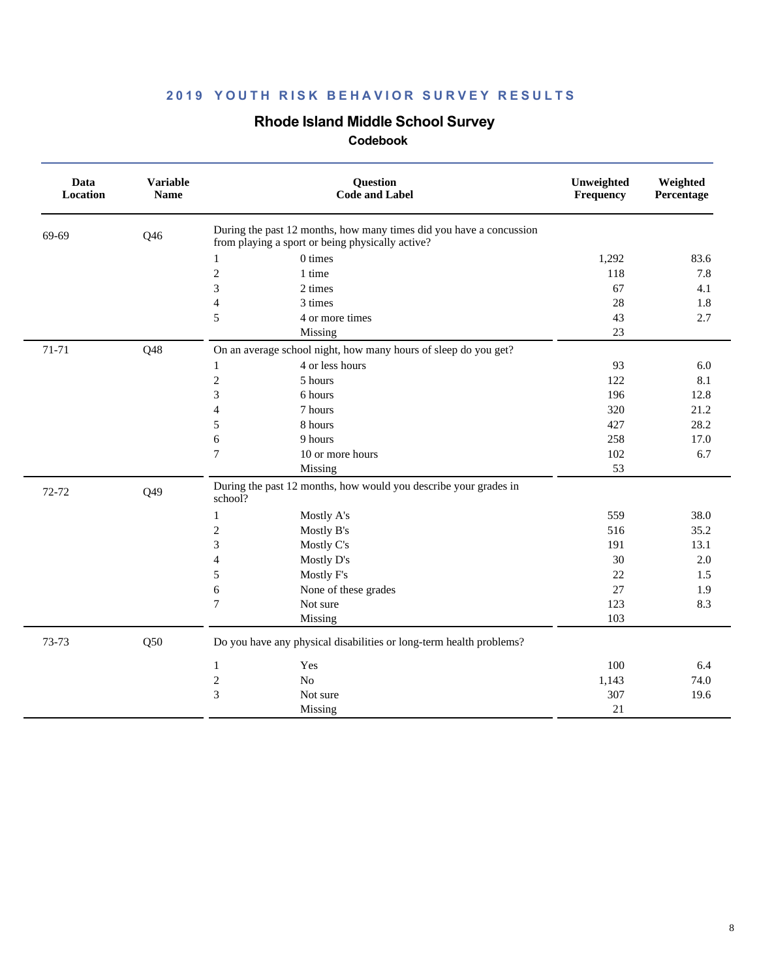## **Rhode Island Middle School Survey**

| Data<br>Location | <b>Variable</b><br><b>Name</b> | Question<br><b>Code and Label</b>                                                                                       | Unweighted<br>Frequency | Weighted<br>Percentage |
|------------------|--------------------------------|-------------------------------------------------------------------------------------------------------------------------|-------------------------|------------------------|
| 69-69            | Q46                            | During the past 12 months, how many times did you have a concussion<br>from playing a sport or being physically active? |                         |                        |
|                  |                                | 0 times<br>$\mathbf{1}$                                                                                                 | 1,292                   | 83.6                   |
|                  |                                | $\overline{c}$<br>1 time                                                                                                | 118                     | 7.8                    |
|                  |                                | 3<br>2 times                                                                                                            | 67                      | 4.1                    |
|                  |                                | 4<br>3 times                                                                                                            | 28                      | 1.8                    |
|                  |                                | 5<br>4 or more times                                                                                                    | 43                      | 2.7                    |
|                  |                                | Missing                                                                                                                 | 23                      |                        |
| 71-71            | Q48                            | On an average school night, how many hours of sleep do you get?                                                         |                         |                        |
|                  |                                | 4 or less hours<br>1                                                                                                    | 93                      | 6.0                    |
|                  |                                | $\overline{c}$<br>5 hours                                                                                               | 122                     | 8.1                    |
|                  |                                | 3<br>6 hours                                                                                                            | 196                     | 12.8                   |
|                  |                                | $\overline{\mathcal{L}}$<br>7 hours                                                                                     | 320                     | 21.2                   |
|                  |                                | 5<br>8 hours                                                                                                            | 427                     | 28.2                   |
|                  |                                | 6<br>9 hours                                                                                                            | 258                     | 17.0                   |
|                  |                                | 7<br>10 or more hours                                                                                                   | 102                     | 6.7                    |
|                  |                                | Missing                                                                                                                 | 53                      |                        |
| 72-72            | Q49                            | During the past 12 months, how would you describe your grades in<br>school?                                             |                         |                        |
|                  |                                | Mostly A's<br>1                                                                                                         | 559                     | 38.0                   |
|                  |                                | $\overline{c}$<br>Mostly B's                                                                                            | 516                     | 35.2                   |
|                  |                                | 3<br>Mostly C's                                                                                                         | 191                     | 13.1                   |
|                  |                                | 4<br>Mostly D's                                                                                                         | 30                      | 2.0                    |
|                  |                                | 5<br>Mostly F's                                                                                                         | 22                      | 1.5                    |
|                  |                                | 6<br>None of these grades                                                                                               | 27                      | 1.9                    |
|                  |                                | $\overline{7}$<br>Not sure                                                                                              | 123                     | 8.3                    |
|                  |                                | Missing                                                                                                                 | 103                     |                        |
| 73-73            | Q50                            | Do you have any physical disabilities or long-term health problems?                                                     |                         |                        |
|                  |                                | Yes<br>1                                                                                                                | 100                     | 6.4                    |
|                  |                                | $\sqrt{2}$<br>N <sub>o</sub>                                                                                            | 1,143                   | 74.0                   |
|                  |                                | 3<br>Not sure                                                                                                           | 307                     | 19.6                   |
|                  |                                | Missing                                                                                                                 | 21                      |                        |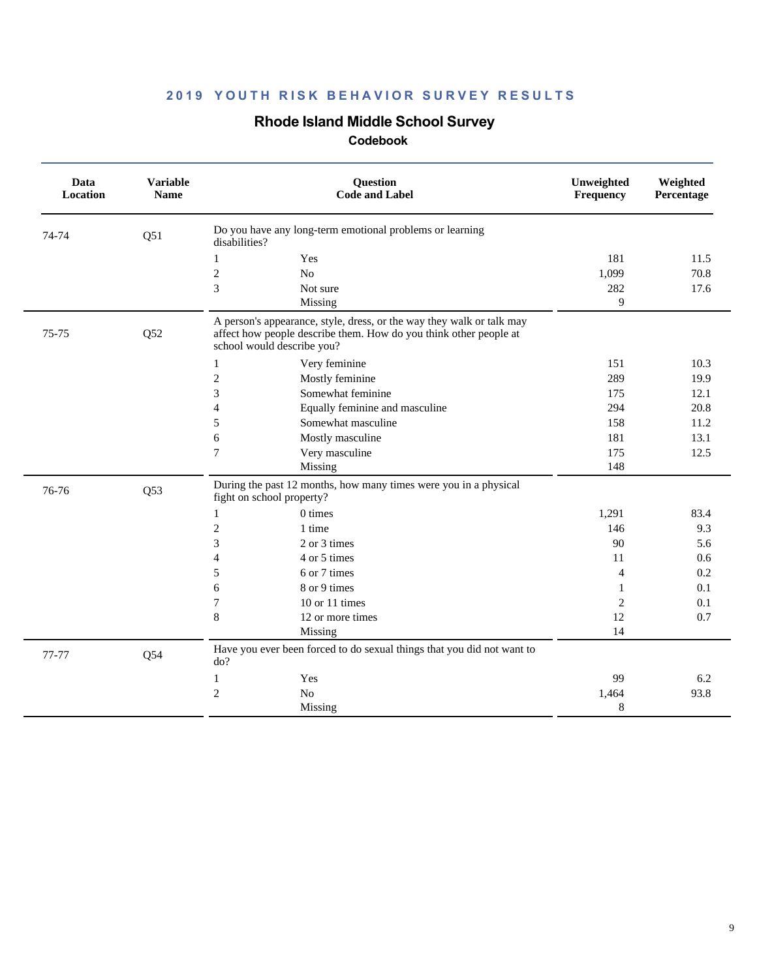## **Rhode Island Middle School Survey**

| Do you have any long-term emotional problems or learning<br>Q51<br>74-74<br>disabilities?<br>181<br>11.5<br>1<br>Yes<br>$\mathfrak{2}$<br>No<br>1,099<br>70.8<br>3<br>282<br>17.6<br>Not sure<br>9<br>Missing<br>A person's appearance, style, dress, or the way they walk or talk may<br>75-75<br>Q52<br>affect how people describe them. How do you think other people at<br>school would describe you?<br>Very feminine<br>151<br>10.3<br>1<br>$\overline{c}$<br>289<br>Mostly feminine<br>19.9<br>3<br>Somewhat feminine<br>12.1<br>175<br>$\overline{4}$<br>294<br>20.8<br>Equally feminine and masculine<br>5<br>Somewhat masculine<br>11.2<br>158<br>6<br>181<br>13.1<br>Mostly masculine<br>7<br>Very masculine<br>175<br>12.5<br>Missing<br>148<br>During the past 12 months, how many times were you in a physical<br>76-76<br>Q53<br>fight on school property?<br>0 times<br>1,291<br>83.4<br>1<br>$\overline{c}$<br>1 time<br>146<br>9.3<br>3<br>2 or 3 times<br>90<br>5.6<br>4<br>4 or 5 times<br>11<br>0.6<br>6 or 7 times<br>0.2<br>5<br>$\overline{4}$<br>8 or 9 times<br>6<br>0.1<br>1<br>7<br>10 or 11 times<br>$\overline{2}$<br>0.1<br>8<br>12<br>0.7<br>12 or more times<br>14<br>Missing<br>Have you ever been forced to do sexual things that you did not want to<br>77-77<br>Q54<br>do?<br>Yes<br>99<br>6.2<br>1<br>$\overline{c}$<br>N <sub>o</sub><br>93.8<br>1,464<br>Missing<br>8 | Data<br>Location | <b>Variable</b><br><b>Name</b> | Question<br><b>Code and Label</b> | Unweighted<br>Frequency | Weighted<br>Percentage |
|---------------------------------------------------------------------------------------------------------------------------------------------------------------------------------------------------------------------------------------------------------------------------------------------------------------------------------------------------------------------------------------------------------------------------------------------------------------------------------------------------------------------------------------------------------------------------------------------------------------------------------------------------------------------------------------------------------------------------------------------------------------------------------------------------------------------------------------------------------------------------------------------------------------------------------------------------------------------------------------------------------------------------------------------------------------------------------------------------------------------------------------------------------------------------------------------------------------------------------------------------------------------------------------------------------------------------------------------------------------------------------------------------------------|------------------|--------------------------------|-----------------------------------|-------------------------|------------------------|
|                                                                                                                                                                                                                                                                                                                                                                                                                                                                                                                                                                                                                                                                                                                                                                                                                                                                                                                                                                                                                                                                                                                                                                                                                                                                                                                                                                                                               |                  |                                |                                   |                         |                        |
|                                                                                                                                                                                                                                                                                                                                                                                                                                                                                                                                                                                                                                                                                                                                                                                                                                                                                                                                                                                                                                                                                                                                                                                                                                                                                                                                                                                                               |                  |                                |                                   |                         |                        |
|                                                                                                                                                                                                                                                                                                                                                                                                                                                                                                                                                                                                                                                                                                                                                                                                                                                                                                                                                                                                                                                                                                                                                                                                                                                                                                                                                                                                               |                  |                                |                                   |                         |                        |
|                                                                                                                                                                                                                                                                                                                                                                                                                                                                                                                                                                                                                                                                                                                                                                                                                                                                                                                                                                                                                                                                                                                                                                                                                                                                                                                                                                                                               |                  |                                |                                   |                         |                        |
|                                                                                                                                                                                                                                                                                                                                                                                                                                                                                                                                                                                                                                                                                                                                                                                                                                                                                                                                                                                                                                                                                                                                                                                                                                                                                                                                                                                                               |                  |                                |                                   |                         |                        |
|                                                                                                                                                                                                                                                                                                                                                                                                                                                                                                                                                                                                                                                                                                                                                                                                                                                                                                                                                                                                                                                                                                                                                                                                                                                                                                                                                                                                               |                  |                                |                                   |                         |                        |
|                                                                                                                                                                                                                                                                                                                                                                                                                                                                                                                                                                                                                                                                                                                                                                                                                                                                                                                                                                                                                                                                                                                                                                                                                                                                                                                                                                                                               |                  |                                |                                   |                         |                        |
|                                                                                                                                                                                                                                                                                                                                                                                                                                                                                                                                                                                                                                                                                                                                                                                                                                                                                                                                                                                                                                                                                                                                                                                                                                                                                                                                                                                                               |                  |                                |                                   |                         |                        |
|                                                                                                                                                                                                                                                                                                                                                                                                                                                                                                                                                                                                                                                                                                                                                                                                                                                                                                                                                                                                                                                                                                                                                                                                                                                                                                                                                                                                               |                  |                                |                                   |                         |                        |
|                                                                                                                                                                                                                                                                                                                                                                                                                                                                                                                                                                                                                                                                                                                                                                                                                                                                                                                                                                                                                                                                                                                                                                                                                                                                                                                                                                                                               |                  |                                |                                   |                         |                        |
|                                                                                                                                                                                                                                                                                                                                                                                                                                                                                                                                                                                                                                                                                                                                                                                                                                                                                                                                                                                                                                                                                                                                                                                                                                                                                                                                                                                                               |                  |                                |                                   |                         |                        |
|                                                                                                                                                                                                                                                                                                                                                                                                                                                                                                                                                                                                                                                                                                                                                                                                                                                                                                                                                                                                                                                                                                                                                                                                                                                                                                                                                                                                               |                  |                                |                                   |                         |                        |
|                                                                                                                                                                                                                                                                                                                                                                                                                                                                                                                                                                                                                                                                                                                                                                                                                                                                                                                                                                                                                                                                                                                                                                                                                                                                                                                                                                                                               |                  |                                |                                   |                         |                        |
|                                                                                                                                                                                                                                                                                                                                                                                                                                                                                                                                                                                                                                                                                                                                                                                                                                                                                                                                                                                                                                                                                                                                                                                                                                                                                                                                                                                                               |                  |                                |                                   |                         |                        |
|                                                                                                                                                                                                                                                                                                                                                                                                                                                                                                                                                                                                                                                                                                                                                                                                                                                                                                                                                                                                                                                                                                                                                                                                                                                                                                                                                                                                               |                  |                                |                                   |                         |                        |
|                                                                                                                                                                                                                                                                                                                                                                                                                                                                                                                                                                                                                                                                                                                                                                                                                                                                                                                                                                                                                                                                                                                                                                                                                                                                                                                                                                                                               |                  |                                |                                   |                         |                        |
|                                                                                                                                                                                                                                                                                                                                                                                                                                                                                                                                                                                                                                                                                                                                                                                                                                                                                                                                                                                                                                                                                                                                                                                                                                                                                                                                                                                                               |                  |                                |                                   |                         |                        |
|                                                                                                                                                                                                                                                                                                                                                                                                                                                                                                                                                                                                                                                                                                                                                                                                                                                                                                                                                                                                                                                                                                                                                                                                                                                                                                                                                                                                               |                  |                                |                                   |                         |                        |
|                                                                                                                                                                                                                                                                                                                                                                                                                                                                                                                                                                                                                                                                                                                                                                                                                                                                                                                                                                                                                                                                                                                                                                                                                                                                                                                                                                                                               |                  |                                |                                   |                         |                        |
|                                                                                                                                                                                                                                                                                                                                                                                                                                                                                                                                                                                                                                                                                                                                                                                                                                                                                                                                                                                                                                                                                                                                                                                                                                                                                                                                                                                                               |                  |                                |                                   |                         |                        |
|                                                                                                                                                                                                                                                                                                                                                                                                                                                                                                                                                                                                                                                                                                                                                                                                                                                                                                                                                                                                                                                                                                                                                                                                                                                                                                                                                                                                               |                  |                                |                                   |                         |                        |
|                                                                                                                                                                                                                                                                                                                                                                                                                                                                                                                                                                                                                                                                                                                                                                                                                                                                                                                                                                                                                                                                                                                                                                                                                                                                                                                                                                                                               |                  |                                |                                   |                         |                        |
|                                                                                                                                                                                                                                                                                                                                                                                                                                                                                                                                                                                                                                                                                                                                                                                                                                                                                                                                                                                                                                                                                                                                                                                                                                                                                                                                                                                                               |                  |                                |                                   |                         |                        |
|                                                                                                                                                                                                                                                                                                                                                                                                                                                                                                                                                                                                                                                                                                                                                                                                                                                                                                                                                                                                                                                                                                                                                                                                                                                                                                                                                                                                               |                  |                                |                                   |                         |                        |
|                                                                                                                                                                                                                                                                                                                                                                                                                                                                                                                                                                                                                                                                                                                                                                                                                                                                                                                                                                                                                                                                                                                                                                                                                                                                                                                                                                                                               |                  |                                |                                   |                         |                        |
|                                                                                                                                                                                                                                                                                                                                                                                                                                                                                                                                                                                                                                                                                                                                                                                                                                                                                                                                                                                                                                                                                                                                                                                                                                                                                                                                                                                                               |                  |                                |                                   |                         |                        |
|                                                                                                                                                                                                                                                                                                                                                                                                                                                                                                                                                                                                                                                                                                                                                                                                                                                                                                                                                                                                                                                                                                                                                                                                                                                                                                                                                                                                               |                  |                                |                                   |                         |                        |
|                                                                                                                                                                                                                                                                                                                                                                                                                                                                                                                                                                                                                                                                                                                                                                                                                                                                                                                                                                                                                                                                                                                                                                                                                                                                                                                                                                                                               |                  |                                |                                   |                         |                        |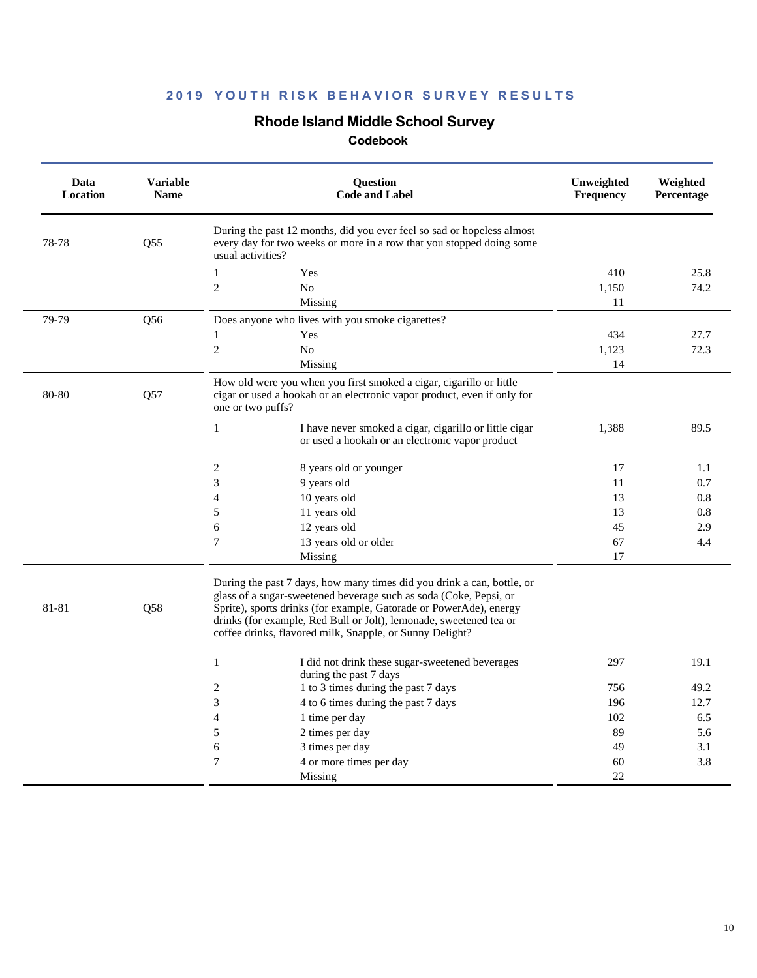#### **Rhode Island Middle School Survey**

| Data<br>Location | <b>Variable</b><br><b>Name</b> |                          | <b>Ouestion</b><br><b>Code and Label</b>                                                                                                                                                                                                                                                                                                            | Unweighted<br>Frequency | Weighted<br>Percentage |
|------------------|--------------------------------|--------------------------|-----------------------------------------------------------------------------------------------------------------------------------------------------------------------------------------------------------------------------------------------------------------------------------------------------------------------------------------------------|-------------------------|------------------------|
| 78-78            | Q55                            | usual activities?        | During the past 12 months, did you ever feel so sad or hopeless almost<br>every day for two weeks or more in a row that you stopped doing some                                                                                                                                                                                                      |                         |                        |
|                  |                                | $\mathbf{1}$             | Yes                                                                                                                                                                                                                                                                                                                                                 | 410                     | 25.8                   |
|                  |                                | $\mathbf{2}$             | N <sub>0</sub>                                                                                                                                                                                                                                                                                                                                      | 1,150                   | 74.2                   |
|                  |                                |                          | Missing                                                                                                                                                                                                                                                                                                                                             | 11                      |                        |
| 79-79            | Q56                            |                          | Does anyone who lives with you smoke cigarettes?                                                                                                                                                                                                                                                                                                    |                         |                        |
|                  |                                | $\mathbf{1}$             | Yes                                                                                                                                                                                                                                                                                                                                                 | 434                     | 27.7                   |
|                  |                                | $\overline{c}$           | N <sub>0</sub>                                                                                                                                                                                                                                                                                                                                      | 1,123                   | 72.3                   |
|                  |                                |                          | Missing                                                                                                                                                                                                                                                                                                                                             | 14                      |                        |
| 80-80            | Q57                            | one or two puffs?        | How old were you when you first smoked a cigar, cigarillo or little<br>cigar or used a hookah or an electronic vapor product, even if only for                                                                                                                                                                                                      |                         |                        |
|                  |                                | $\mathbf{1}$             | I have never smoked a cigar, cigarillo or little cigar<br>or used a hookah or an electronic vapor product                                                                                                                                                                                                                                           | 1,388                   | 89.5                   |
|                  |                                | $\sqrt{2}$               | 8 years old or younger                                                                                                                                                                                                                                                                                                                              | 17                      | 1.1                    |
|                  |                                | 3                        | 9 years old                                                                                                                                                                                                                                                                                                                                         | 11                      | 0.7                    |
|                  |                                | $\overline{4}$           | 10 years old                                                                                                                                                                                                                                                                                                                                        | 13                      | 0.8                    |
|                  |                                | 5                        | 11 years old                                                                                                                                                                                                                                                                                                                                        | 13                      | 0.8                    |
|                  |                                | 6                        | 12 years old                                                                                                                                                                                                                                                                                                                                        | 45                      | 2.9                    |
|                  |                                | $\overline{7}$           | 13 years old or older                                                                                                                                                                                                                                                                                                                               | 67                      | 4.4                    |
|                  |                                |                          | Missing                                                                                                                                                                                                                                                                                                                                             | 17                      |                        |
| 81-81            | Q58                            |                          | During the past 7 days, how many times did you drink a can, bottle, or<br>glass of a sugar-sweetened beverage such as soda (Coke, Pepsi, or<br>Sprite), sports drinks (for example, Gatorade or PowerAde), energy<br>drinks (for example, Red Bull or Jolt), lemonade, sweetened tea or<br>coffee drinks, flavored milk, Snapple, or Sunny Delight? |                         |                        |
|                  |                                | $\mathbf{1}$             | I did not drink these sugar-sweetened beverages<br>during the past 7 days                                                                                                                                                                                                                                                                           | 297                     | 19.1                   |
|                  |                                | 2                        | 1 to 3 times during the past 7 days                                                                                                                                                                                                                                                                                                                 | 756                     | 49.2                   |
|                  |                                | 3                        | 4 to 6 times during the past 7 days                                                                                                                                                                                                                                                                                                                 | 196                     | 12.7                   |
|                  |                                | $\overline{\mathcal{L}}$ | 1 time per day                                                                                                                                                                                                                                                                                                                                      | 102                     | 6.5                    |
|                  |                                | 5                        | 2 times per day                                                                                                                                                                                                                                                                                                                                     | 89                      | 5.6                    |
|                  |                                | 6                        | 3 times per day                                                                                                                                                                                                                                                                                                                                     | 49                      | 3.1                    |
|                  |                                | $\overline{7}$           | 4 or more times per day                                                                                                                                                                                                                                                                                                                             | 60                      | 3.8                    |
|                  |                                |                          | Missing                                                                                                                                                                                                                                                                                                                                             | 22                      |                        |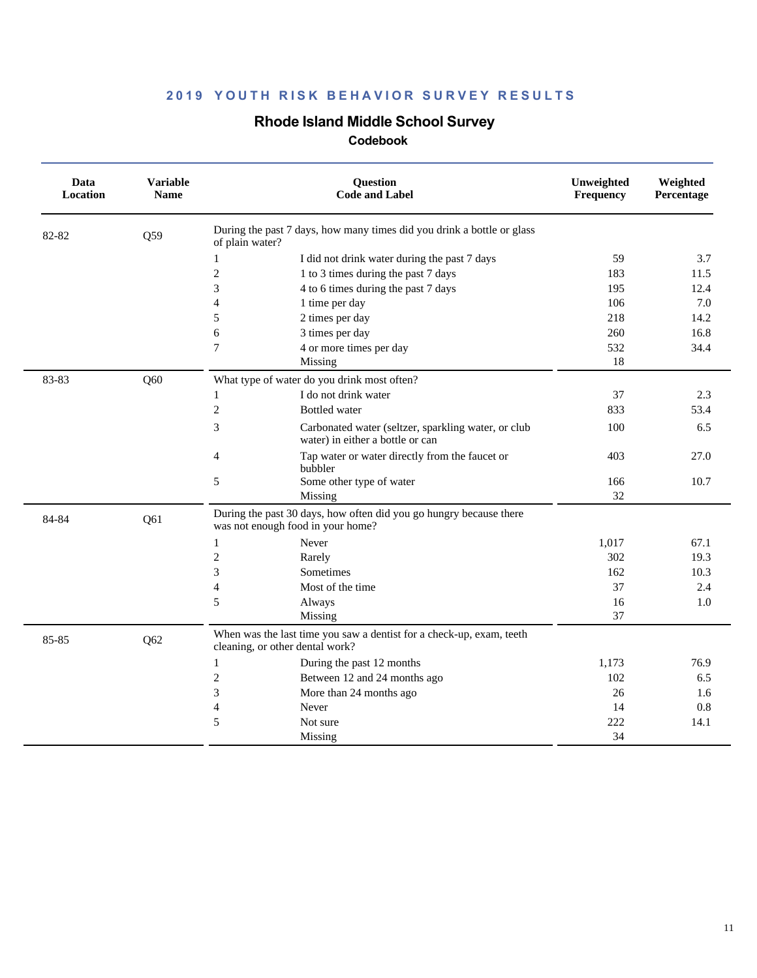## **Rhode Island Middle School Survey**

| Data<br>Location | <b>Variable</b><br><b>Name</b> | <b>Question</b><br><b>Code and Label</b>                                                                | Unweighted<br>Frequency | Weighted<br>Percentage |
|------------------|--------------------------------|---------------------------------------------------------------------------------------------------------|-------------------------|------------------------|
| 82-82            | Q59                            | During the past 7 days, how many times did you drink a bottle or glass<br>of plain water?               |                         |                        |
|                  |                                | I did not drink water during the past 7 days<br>$\mathbf{1}$                                            | 59                      | 3.7                    |
|                  |                                | $\mathbf{2}$<br>1 to 3 times during the past 7 days                                                     | 183                     | 11.5                   |
|                  |                                | 3<br>4 to 6 times during the past 7 days                                                                | 195                     | 12.4                   |
|                  |                                | $\overline{4}$<br>1 time per day                                                                        | 106                     | 7.0                    |
|                  |                                | 5<br>2 times per day                                                                                    | 218                     | 14.2                   |
|                  |                                | 6<br>3 times per day                                                                                    | 260                     | 16.8                   |
|                  |                                | 7<br>4 or more times per day                                                                            | 532                     | 34.4                   |
|                  |                                | Missing                                                                                                 | 18                      |                        |
| 83-83            | Q60                            | What type of water do you drink most often?                                                             |                         |                        |
|                  |                                | I do not drink water<br>$\mathbf{1}$                                                                    | 37                      | 2.3                    |
|                  |                                | $\mathbf{2}$<br><b>Bottled</b> water                                                                    | 833                     | 53.4                   |
|                  |                                | 3<br>Carbonated water (seltzer, sparkling water, or club<br>water) in either a bottle or can            | 100                     | 6.5                    |
|                  |                                | $\overline{4}$<br>Tap water or water directly from the faucet or<br>bubbler                             | 403                     | 27.0                   |
|                  |                                | 5<br>Some other type of water<br>Missing                                                                | 166<br>32               | 10.7                   |
| 84-84            | Q61                            | During the past 30 days, how often did you go hungry because there<br>was not enough food in your home? |                         |                        |
|                  |                                | $\mathbf{1}$<br>Never                                                                                   | 1,017                   | 67.1                   |
|                  |                                | $\mathfrak{2}$<br>Rarely                                                                                | 302                     | 19.3                   |
|                  |                                | 3<br>Sometimes                                                                                          | 162                     | 10.3                   |
|                  |                                | $\overline{4}$<br>Most of the time                                                                      | 37                      | 2.4                    |
|                  |                                | 5<br>Always                                                                                             | 16                      | 1.0                    |
|                  |                                | Missing                                                                                                 | 37                      |                        |
| 85-85            | Q62                            | When was the last time you saw a dentist for a check-up, exam, teeth<br>cleaning, or other dental work? |                         |                        |
|                  |                                | $\mathbf{1}$<br>During the past 12 months                                                               | 1,173                   | 76.9                   |
|                  |                                | $\mathfrak{2}$<br>Between 12 and 24 months ago                                                          | 102                     | 6.5                    |
|                  |                                | 3<br>More than 24 months ago                                                                            | 26                      | 1.6                    |
|                  |                                | 4<br>Never                                                                                              | 14                      | 0.8                    |
|                  |                                | 5<br>Not sure                                                                                           | 222                     | 14.1                   |
|                  |                                | Missing                                                                                                 | 34                      |                        |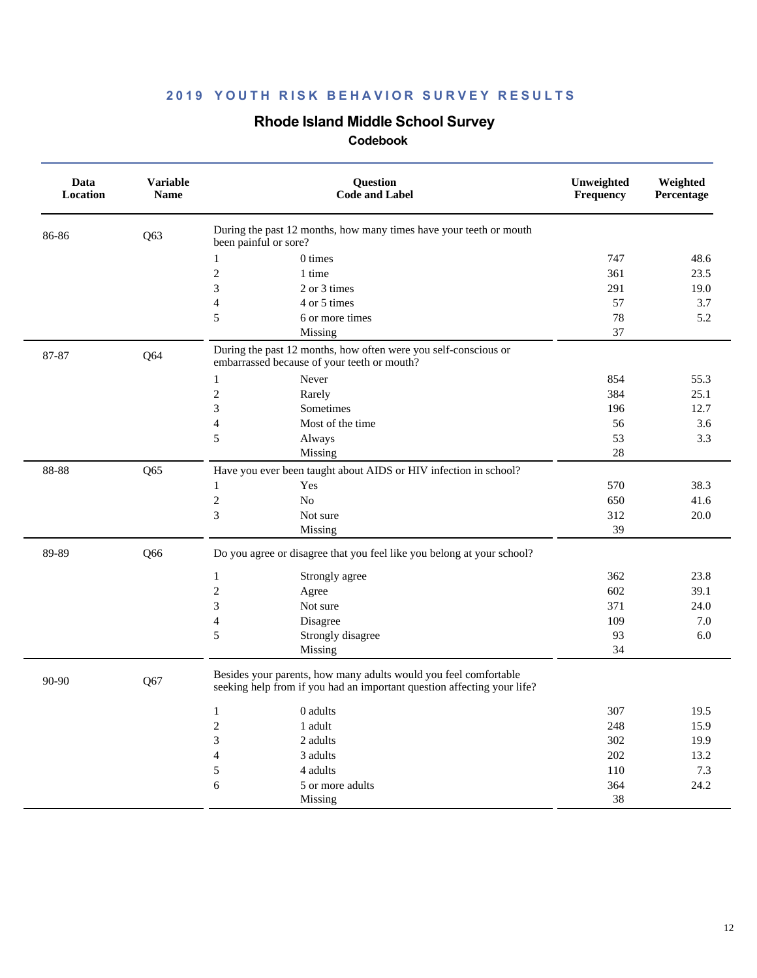## **Rhode Island Middle School Survey**

| Data<br>Location | <b>Variable</b><br><b>Name</b> | Question<br><b>Code and Label</b>                                                                                                           | Unweighted<br>Frequency | Weighted<br>Percentage |
|------------------|--------------------------------|---------------------------------------------------------------------------------------------------------------------------------------------|-------------------------|------------------------|
| 86-86            | Q63                            | During the past 12 months, how many times have your teeth or mouth<br>been painful or sore?                                                 |                         |                        |
|                  |                                | $0 \times$<br>1                                                                                                                             | 747                     | 48.6                   |
|                  |                                | $\overline{c}$<br>1 time                                                                                                                    | 361                     | 23.5                   |
|                  |                                | $\overline{3}$<br>2 or 3 times                                                                                                              | 291                     | 19.0                   |
|                  |                                | $\overline{4}$<br>4 or 5 times                                                                                                              | 57                      | 3.7                    |
|                  |                                | 5<br>6 or more times                                                                                                                        | 78                      | 5.2                    |
|                  |                                | Missing                                                                                                                                     | 37                      |                        |
| 87-87            | Q64                            | During the past 12 months, how often were you self-conscious or<br>embarrassed because of your teeth or mouth?                              |                         |                        |
|                  |                                | Never<br>$\mathbf{1}$                                                                                                                       | 854                     | 55.3                   |
|                  |                                | $\overline{2}$<br>Rarely                                                                                                                    | 384                     | 25.1                   |
|                  |                                | 3<br>Sometimes                                                                                                                              | 196                     | 12.7                   |
|                  |                                | $\overline{4}$<br>Most of the time                                                                                                          | 56                      | 3.6                    |
|                  |                                | 5<br>Always                                                                                                                                 | 53                      | 3.3                    |
|                  |                                | Missing                                                                                                                                     | 28                      |                        |
| 88-88            | Q65                            | Have you ever been taught about AIDS or HIV infection in school?                                                                            |                         |                        |
|                  |                                | Yes<br>$\mathbf{1}$                                                                                                                         | 570                     | 38.3                   |
|                  |                                | $\overline{c}$<br>No                                                                                                                        | 650                     | 41.6                   |
|                  |                                | $\overline{3}$<br>Not sure                                                                                                                  | 312                     | 20.0                   |
|                  |                                | Missing                                                                                                                                     | 39                      |                        |
| 89-89            | Q66                            | Do you agree or disagree that you feel like you belong at your school?                                                                      |                         |                        |
|                  |                                | $\mathbf{1}$<br>Strongly agree                                                                                                              | 362                     | 23.8                   |
|                  |                                | $\mathbf{2}$<br>Agree                                                                                                                       | 602                     | 39.1                   |
|                  |                                | 3<br>Not sure                                                                                                                               | 371                     | 24.0                   |
|                  |                                | $\overline{4}$<br>Disagree                                                                                                                  | 109                     | 7.0                    |
|                  |                                | 5<br>Strongly disagree                                                                                                                      | 93                      | 6.0                    |
|                  |                                | Missing                                                                                                                                     | 34                      |                        |
| 90-90            | Q67                            | Besides your parents, how many adults would you feel comfortable<br>seeking help from if you had an important question affecting your life? |                         |                        |
|                  |                                | $\mathbf{1}$<br>0 adults                                                                                                                    | 307                     | 19.5                   |
|                  |                                | $\overline{c}$<br>1 adult                                                                                                                   | 248                     | 15.9                   |
|                  |                                | 3<br>2 adults                                                                                                                               | 302                     | 19.9                   |
|                  |                                | 4<br>3 adults                                                                                                                               | 202                     | 13.2                   |
|                  |                                | 5<br>4 adults                                                                                                                               | 110                     | 7.3                    |
|                  |                                | 6<br>5 or more adults                                                                                                                       | 364                     | 24.2                   |
|                  |                                | Missing                                                                                                                                     | 38                      |                        |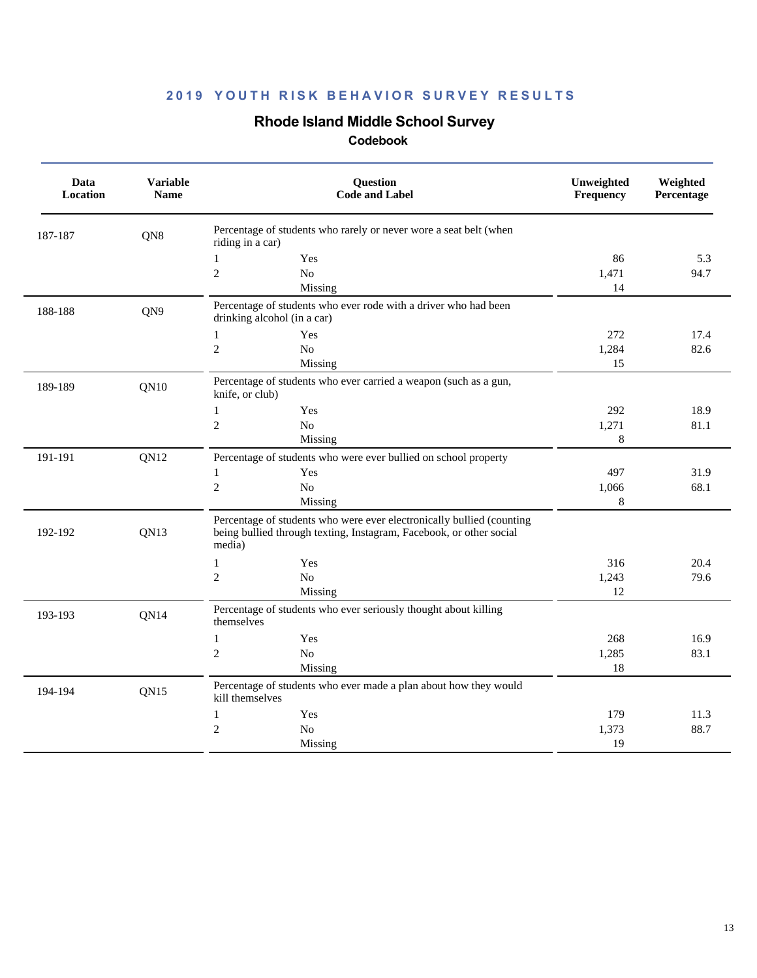# **Rhode Island Middle School Survey**

| Data<br>Location | <b>Variable</b><br><b>Name</b> | Question<br><b>Code and Label</b>                                                                                                                      | Unweighted<br>Frequency | Weighted<br>Percentage |
|------------------|--------------------------------|--------------------------------------------------------------------------------------------------------------------------------------------------------|-------------------------|------------------------|
| 187-187          | QN8                            | Percentage of students who rarely or never wore a seat belt (when<br>riding in a car)                                                                  |                         |                        |
|                  |                                | Yes<br>$\mathbf{1}$                                                                                                                                    | 86                      | 5.3                    |
|                  |                                | $\sqrt{2}$<br>No                                                                                                                                       | 1,471                   | 94.7                   |
|                  |                                | Missing                                                                                                                                                | 14                      |                        |
| 188-188          | QN9                            | Percentage of students who ever rode with a driver who had been<br>drinking alcohol (in a car)                                                         |                         |                        |
|                  |                                | $\mathbf{1}$<br>Yes                                                                                                                                    | 272                     | 17.4                   |
|                  |                                | $\overline{c}$<br>No                                                                                                                                   | 1,284                   | 82.6                   |
|                  |                                | Missing                                                                                                                                                | 15                      |                        |
| 189-189          | <b>QN10</b>                    | Percentage of students who ever carried a weapon (such as a gun,<br>knife, or club)                                                                    |                         |                        |
|                  |                                | $\mathbf{1}$<br>Yes                                                                                                                                    | 292                     | 18.9                   |
|                  |                                | $\mathfrak{2}$<br>$\rm No$                                                                                                                             | 1,271                   | 81.1                   |
|                  |                                | Missing                                                                                                                                                | 8                       |                        |
| 191-191          | QN12                           | Percentage of students who were ever bullied on school property                                                                                        |                         |                        |
|                  |                                | Yes<br>1                                                                                                                                               | 497                     | 31.9                   |
|                  |                                | $\overline{2}$<br>No                                                                                                                                   | 1,066                   | 68.1                   |
|                  |                                | Missing                                                                                                                                                | 8                       |                        |
| 192-192          | QN13                           | Percentage of students who were ever electronically bullied (counting<br>being bullied through texting, Instagram, Facebook, or other social<br>media) |                         |                        |
|                  |                                | $\mathbf{1}$<br>Yes                                                                                                                                    | 316                     | 20.4                   |
|                  |                                | $\overline{c}$<br>No                                                                                                                                   | 1,243                   | 79.6                   |
|                  |                                | Missing                                                                                                                                                | 12                      |                        |
| 193-193          | QN14                           | Percentage of students who ever seriously thought about killing<br>themselves                                                                          |                         |                        |
|                  |                                | $\mathbf{1}$<br>Yes                                                                                                                                    | 268                     | 16.9                   |
|                  |                                | $\mathfrak{2}$<br>N <sub>o</sub>                                                                                                                       | 1,285                   | 83.1                   |
|                  |                                | Missing                                                                                                                                                | 18                      |                        |
| 194-194          | QN15                           | Percentage of students who ever made a plan about how they would<br>kill themselves                                                                    |                         |                        |
|                  |                                | $\mathbf{1}$<br>Yes                                                                                                                                    | 179                     | 11.3                   |
|                  |                                | $\overline{c}$<br>No                                                                                                                                   | 1,373                   | 88.7                   |
|                  |                                | Missing                                                                                                                                                | 19                      |                        |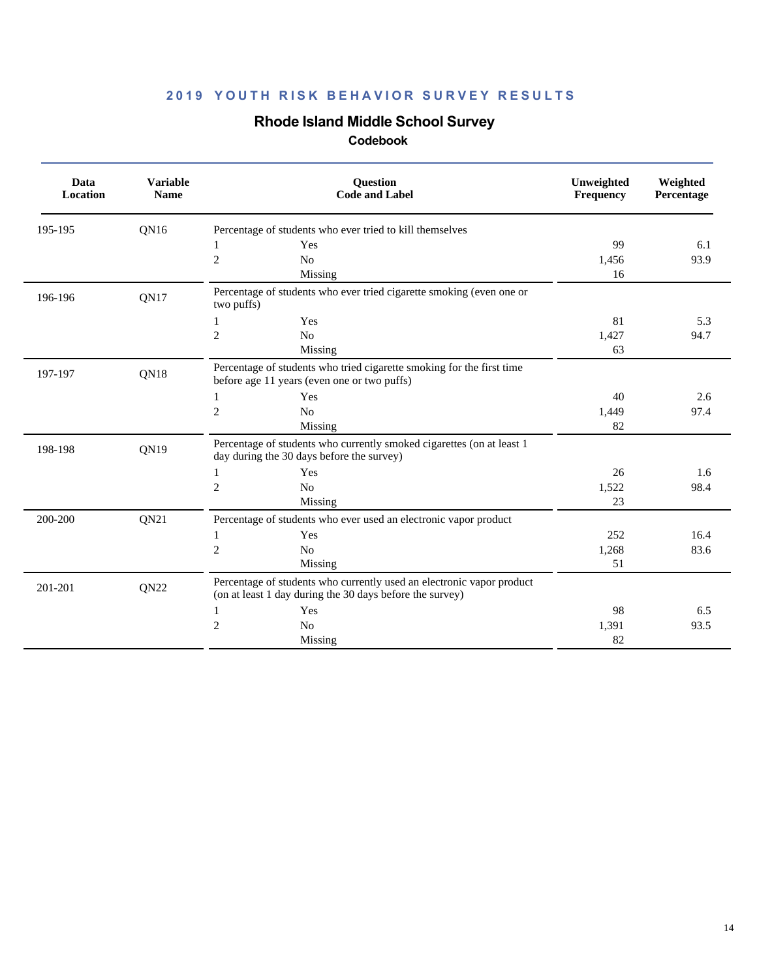## **Rhode Island Middle School Survey**

| Data<br>Location | <b>Variable</b><br><b>Name</b> | <b>Question</b><br><b>Code and Label</b>                                                                                          | Unweighted<br>Frequency | Weighted<br>Percentage |
|------------------|--------------------------------|-----------------------------------------------------------------------------------------------------------------------------------|-------------------------|------------------------|
| 195-195          | QN16                           | Percentage of students who ever tried to kill themselves                                                                          |                         |                        |
|                  |                                | 1<br>Yes                                                                                                                          | 99                      | 6.1                    |
|                  |                                | $\overline{c}$<br>No                                                                                                              | 1.456                   | 93.9                   |
|                  |                                | Missing                                                                                                                           | 16                      |                        |
| 196-196          | <b>QN17</b>                    | Percentage of students who ever tried cigarette smoking (even one or<br>two puffs)                                                |                         |                        |
|                  |                                | Yes<br>1                                                                                                                          | 81                      | 5.3                    |
|                  |                                | $\overline{2}$<br>N <sub>o</sub>                                                                                                  | 1,427                   | 94.7                   |
|                  |                                | Missing                                                                                                                           | 63                      |                        |
| 197-197          | QN18                           | Percentage of students who tried cigarette smoking for the first time<br>before age 11 years (even one or two puffs)              |                         |                        |
|                  |                                | Yes<br>1                                                                                                                          | 40                      | 2.6                    |
|                  |                                | $\sqrt{2}$<br>N <sub>o</sub>                                                                                                      | 1,449                   | 97.4                   |
|                  |                                | Missing                                                                                                                           | 82                      |                        |
| 198-198          | QN19                           | Percentage of students who currently smoked cigarettes (on at least 1<br>day during the 30 days before the survey)                |                         |                        |
|                  |                                | Yes<br>1                                                                                                                          | 26                      | 1.6                    |
|                  |                                | $\mathfrak{2}$<br>N <sub>0</sub>                                                                                                  | 1,522                   | 98.4                   |
|                  |                                | Missing                                                                                                                           | 23                      |                        |
| 200-200          | QN21                           | Percentage of students who ever used an electronic vapor product                                                                  |                         |                        |
|                  |                                | Yes<br>1                                                                                                                          | 252                     | 16.4                   |
|                  |                                | $\mathfrak{2}$<br>No                                                                                                              | 1,268                   | 83.6                   |
|                  |                                | Missing                                                                                                                           | 51                      |                        |
| 201-201          | QN22                           | Percentage of students who currently used an electronic vapor product<br>(on at least 1 day during the 30 days before the survey) |                         |                        |
|                  |                                | Yes<br>1                                                                                                                          | 98                      | 6.5                    |
|                  |                                | $\overline{2}$<br>No                                                                                                              | 1.391                   | 93.5                   |
|                  |                                | Missing                                                                                                                           | 82                      |                        |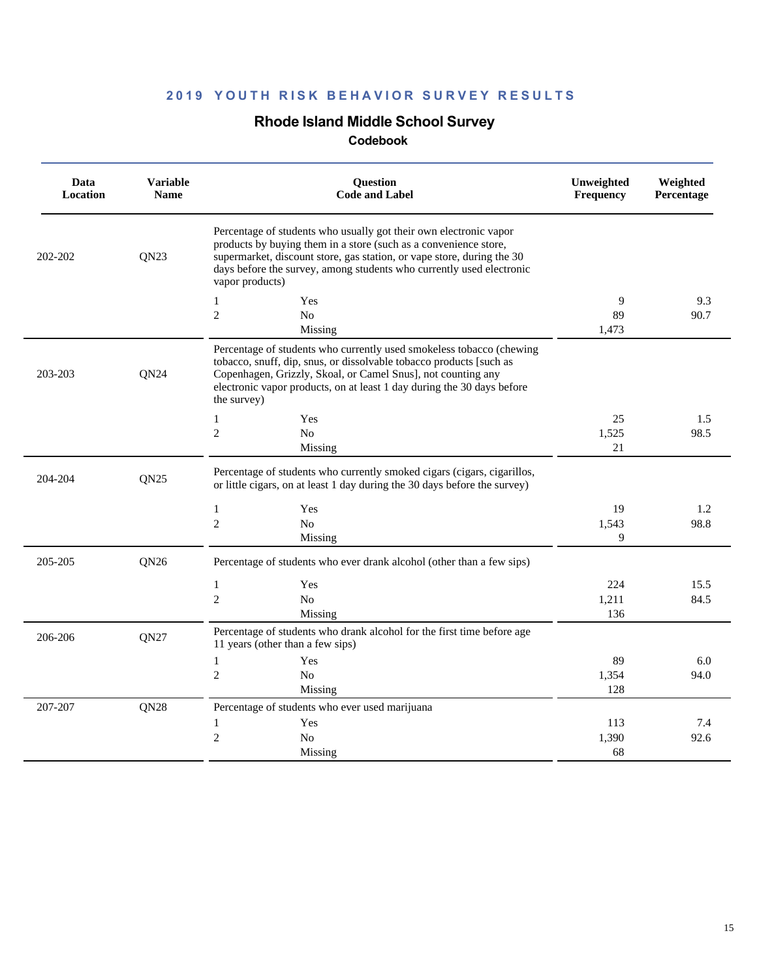## **Rhode Island Middle School Survey**

| Data<br>Location | <b>Variable</b><br><b>Name</b> | Question<br><b>Code and Label</b>                                                                                                                                                                                                                                                                          | Unweighted<br>Frequency | Weighted<br>Percentage |
|------------------|--------------------------------|------------------------------------------------------------------------------------------------------------------------------------------------------------------------------------------------------------------------------------------------------------------------------------------------------------|-------------------------|------------------------|
| 202-202          | QN23                           | Percentage of students who usually got their own electronic vapor<br>products by buying them in a store (such as a convenience store,<br>supermarket, discount store, gas station, or vape store, during the 30<br>days before the survey, among students who currently used electronic<br>vapor products) |                         |                        |
|                  |                                | Yes<br>1                                                                                                                                                                                                                                                                                                   | 9                       | 9.3                    |
|                  |                                | $\overline{2}$<br>No                                                                                                                                                                                                                                                                                       | 89                      | 90.7                   |
|                  |                                | Missing                                                                                                                                                                                                                                                                                                    | 1,473                   |                        |
| 203-203          | ON24                           | Percentage of students who currently used smokeless tobacco (chewing<br>tobacco, snuff, dip, snus, or dissolvable tobacco products [such as<br>Copenhagen, Grizzly, Skoal, or Camel Snus], not counting any<br>electronic vapor products, on at least 1 day during the 30 days before<br>the survey)       |                         |                        |
|                  |                                | Yes<br>1                                                                                                                                                                                                                                                                                                   | 25                      | 1.5                    |
|                  |                                | $\mathfrak{2}$<br>No                                                                                                                                                                                                                                                                                       | 1,525                   | 98.5                   |
|                  |                                | Missing                                                                                                                                                                                                                                                                                                    | 21                      |                        |
| 204-204          | QN25                           | Percentage of students who currently smoked cigars (cigars, cigarillos,<br>or little cigars, on at least 1 day during the 30 days before the survey)                                                                                                                                                       |                         |                        |
|                  |                                | $\mathbf{1}$<br>Yes                                                                                                                                                                                                                                                                                        | 19                      | 1.2                    |
|                  |                                | $\mathfrak{2}$<br>N <sub>o</sub>                                                                                                                                                                                                                                                                           | 1,543                   | 98.8                   |
|                  |                                | Missing                                                                                                                                                                                                                                                                                                    | 9                       |                        |
| 205-205          | QN <sub>26</sub>               | Percentage of students who ever drank alcohol (other than a few sips)                                                                                                                                                                                                                                      |                         |                        |
|                  |                                | $\mathbf{1}$<br>Yes                                                                                                                                                                                                                                                                                        | 224                     | 15.5                   |
|                  |                                | $\overline{2}$<br>N <sub>o</sub>                                                                                                                                                                                                                                                                           | 1,211                   | 84.5                   |
|                  |                                | Missing                                                                                                                                                                                                                                                                                                    | 136                     |                        |
| 206-206          | QN27                           | Percentage of students who drank alcohol for the first time before age<br>11 years (other than a few sips)                                                                                                                                                                                                 |                         |                        |
|                  |                                | $\mathbf{1}$<br>Yes                                                                                                                                                                                                                                                                                        | 89                      | 6.0                    |
|                  |                                | $\mathfrak{2}$<br>N <sub>0</sub>                                                                                                                                                                                                                                                                           | 1,354                   | 94.0                   |
|                  |                                | Missing                                                                                                                                                                                                                                                                                                    | 128                     |                        |
| 207-207          | QN28                           | Percentage of students who ever used marijuana                                                                                                                                                                                                                                                             |                         |                        |
|                  |                                | $\mathbf{1}$<br>Yes                                                                                                                                                                                                                                                                                        | 113                     | 7.4                    |
|                  |                                | $\overline{c}$<br>No                                                                                                                                                                                                                                                                                       | 1,390                   | 92.6                   |
|                  |                                | Missing                                                                                                                                                                                                                                                                                                    | 68                      |                        |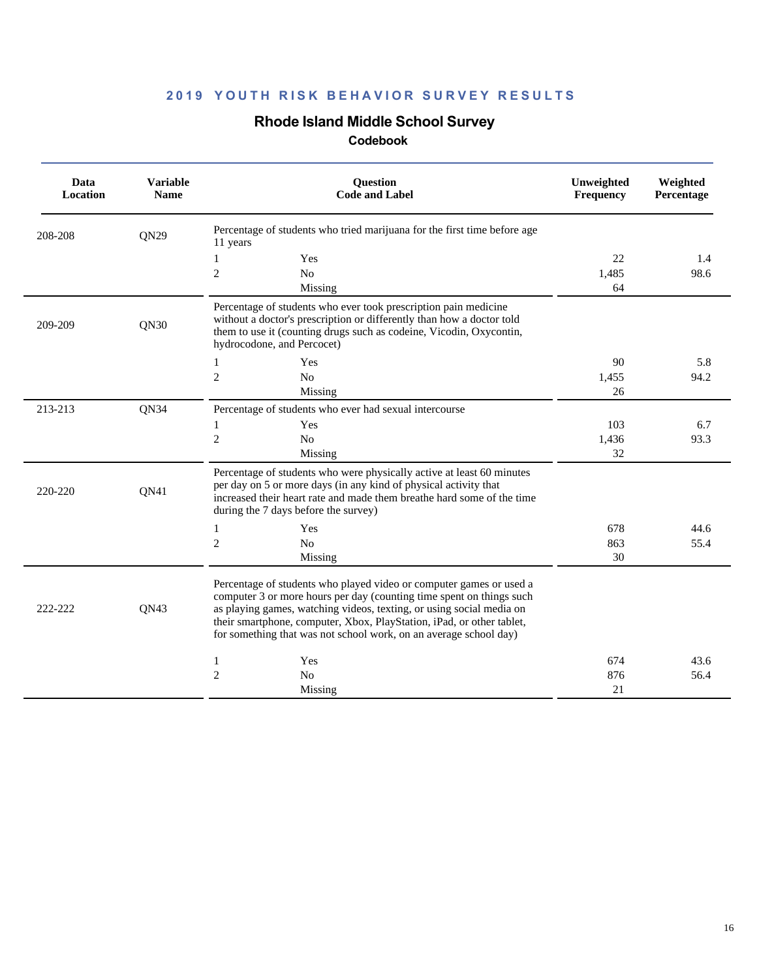## **Rhode Island Middle School Survey**

| Data<br><b>Location</b> | <b>Variable</b><br><b>Name</b> | <b>Question</b><br><b>Code and Label</b>                                                                                                                                                                                                                                                                                                                          | Unweighted<br><b>Frequency</b> | Weighted<br>Percentage |
|-------------------------|--------------------------------|-------------------------------------------------------------------------------------------------------------------------------------------------------------------------------------------------------------------------------------------------------------------------------------------------------------------------------------------------------------------|--------------------------------|------------------------|
| 208-208                 | QN29                           | Percentage of students who tried marijuana for the first time before age<br>11 years                                                                                                                                                                                                                                                                              |                                |                        |
|                         |                                | 1<br>Yes                                                                                                                                                                                                                                                                                                                                                          | 22                             | 1.4                    |
|                         |                                | $\overline{c}$<br>No                                                                                                                                                                                                                                                                                                                                              | 1,485                          | 98.6                   |
|                         |                                | Missing                                                                                                                                                                                                                                                                                                                                                           | 64                             |                        |
| 209-209                 | QN30                           | Percentage of students who ever took prescription pain medicine<br>without a doctor's prescription or differently than how a doctor told<br>them to use it (counting drugs such as codeine, Vicodin, Oxycontin,<br>hydrocodone, and Percocet)                                                                                                                     |                                |                        |
|                         |                                | Yes<br>1                                                                                                                                                                                                                                                                                                                                                          | 90                             | 5.8                    |
|                         |                                | $\mathfrak{2}$<br>N <sub>o</sub>                                                                                                                                                                                                                                                                                                                                  | 1.455                          | 94.2                   |
|                         |                                | Missing                                                                                                                                                                                                                                                                                                                                                           | 26                             |                        |
| 213-213                 | QN34                           | Percentage of students who ever had sexual intercourse                                                                                                                                                                                                                                                                                                            |                                |                        |
|                         |                                | Yes<br>1                                                                                                                                                                                                                                                                                                                                                          | 103                            | 6.7                    |
|                         |                                | $\overline{2}$<br>N <sub>o</sub>                                                                                                                                                                                                                                                                                                                                  | 1,436                          | 93.3                   |
|                         |                                | Missing                                                                                                                                                                                                                                                                                                                                                           | 32                             |                        |
| 220-220                 | QN41                           | Percentage of students who were physically active at least 60 minutes<br>per day on 5 or more days (in any kind of physical activity that<br>increased their heart rate and made them breathe hard some of the time<br>during the 7 days before the survey)                                                                                                       |                                |                        |
|                         |                                | 1<br>Yes                                                                                                                                                                                                                                                                                                                                                          | 678                            | 44.6                   |
|                         |                                | $\mathfrak{2}$<br>N <sub>o</sub>                                                                                                                                                                                                                                                                                                                                  | 863                            | 55.4                   |
|                         |                                | Missing                                                                                                                                                                                                                                                                                                                                                           | 30                             |                        |
| 222-222                 | QN43                           | Percentage of students who played video or computer games or used a<br>computer 3 or more hours per day (counting time spent on things such<br>as playing games, watching videos, texting, or using social media on<br>their smartphone, computer, Xbox, PlayStation, iPad, or other tablet,<br>for something that was not school work, on an average school day) |                                |                        |
|                         |                                | Yes<br>1                                                                                                                                                                                                                                                                                                                                                          | 674                            | 43.6                   |
|                         |                                | $\mathfrak{2}$<br>N <sub>0</sub>                                                                                                                                                                                                                                                                                                                                  | 876                            | 56.4                   |
|                         |                                | Missing                                                                                                                                                                                                                                                                                                                                                           | 21                             |                        |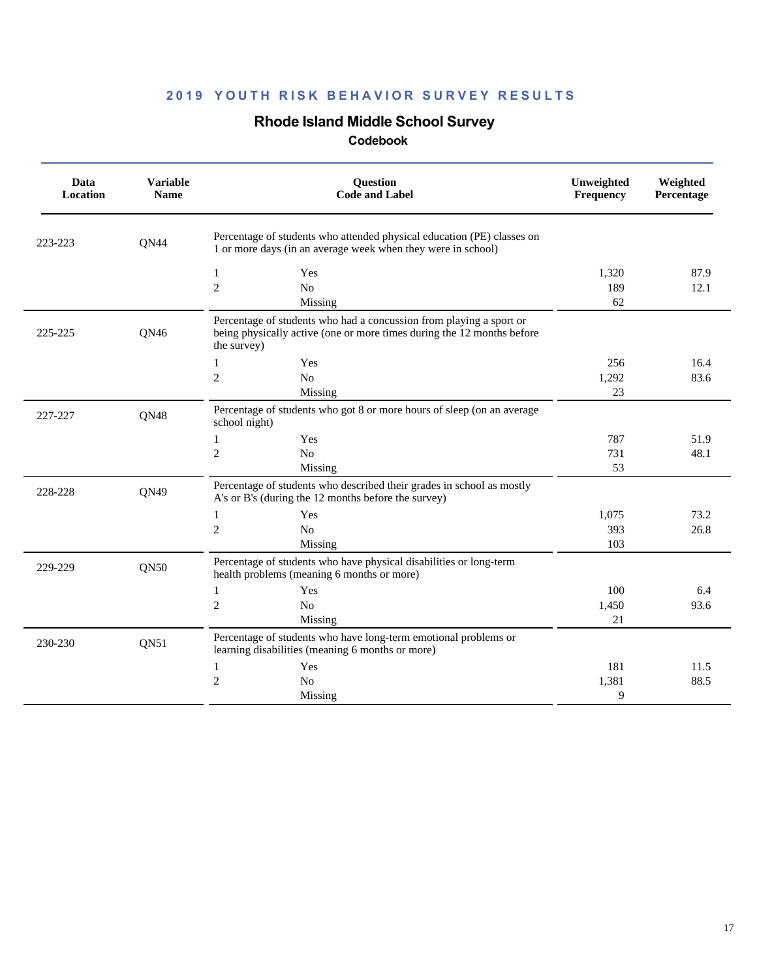#### **Rhode Island Middle School Survey**

| Data<br>Location | <b>Variable</b><br><b>Name</b> | <b>Question</b><br><b>Code and Label</b>                                                                                                                     | Unweighted<br><b>Frequency</b> | Weighted<br>Percentage |
|------------------|--------------------------------|--------------------------------------------------------------------------------------------------------------------------------------------------------------|--------------------------------|------------------------|
| 223-223          | QN44                           | Percentage of students who attended physical education (PE) classes on<br>1 or more days (in an average week when they were in school)                       |                                |                        |
|                  |                                | $\mathbf{1}$<br>Yes                                                                                                                                          | 1,320                          | 87.9                   |
|                  |                                | $\overline{2}$<br>No                                                                                                                                         | 189                            | 12.1                   |
|                  |                                | Missing                                                                                                                                                      | 62                             |                        |
| 225-225          | QN46                           | Percentage of students who had a concussion from playing a sport or<br>being physically active (one or more times during the 12 months before<br>the survey) |                                |                        |
|                  |                                | Yes<br>1                                                                                                                                                     | 256                            | 16.4                   |
|                  |                                | $\overline{2}$<br>N <sub>o</sub>                                                                                                                             | 1,292                          | 83.6                   |
|                  |                                | Missing                                                                                                                                                      | 23                             |                        |
| 227-227          | QN48                           | Percentage of students who got 8 or more hours of sleep (on an average<br>school night)                                                                      |                                |                        |
|                  |                                | Yes<br>$\mathbf{1}$                                                                                                                                          | 787                            | 51.9                   |
|                  |                                | $\mathfrak{2}$<br>N <sub>o</sub>                                                                                                                             | 731                            | 48.1                   |
|                  |                                | Missing                                                                                                                                                      | 53                             |                        |
| 228-228          | QN49                           | Percentage of students who described their grades in school as mostly<br>A's or B's (during the 12 months before the survey)                                 |                                |                        |
|                  |                                | 1<br>Yes                                                                                                                                                     | 1.075                          | 73.2                   |
|                  |                                | $\mathfrak{2}$<br>N <sub>o</sub>                                                                                                                             | 393                            | 26.8                   |
|                  |                                | Missing                                                                                                                                                      | 103                            |                        |
| 229-229          | QN50                           | Percentage of students who have physical disabilities or long-term<br>health problems (meaning 6 months or more)                                             |                                |                        |
|                  |                                | Yes<br>1                                                                                                                                                     | 100                            | 6.4                    |
|                  |                                | $\mathfrak{2}$<br>No                                                                                                                                         | 1,450                          | 93.6                   |
|                  |                                | Missing                                                                                                                                                      | 21                             |                        |
| 230-230          | <b>QN51</b>                    | Percentage of students who have long-term emotional problems or<br>learning disabilities (meaning 6 months or more)                                          |                                |                        |
|                  |                                | Yes<br>1                                                                                                                                                     | 181                            | 11.5                   |
|                  |                                | $\mathfrak{2}$<br>No                                                                                                                                         | 1,381                          | 88.5                   |
|                  |                                | Missing                                                                                                                                                      | 9                              |                        |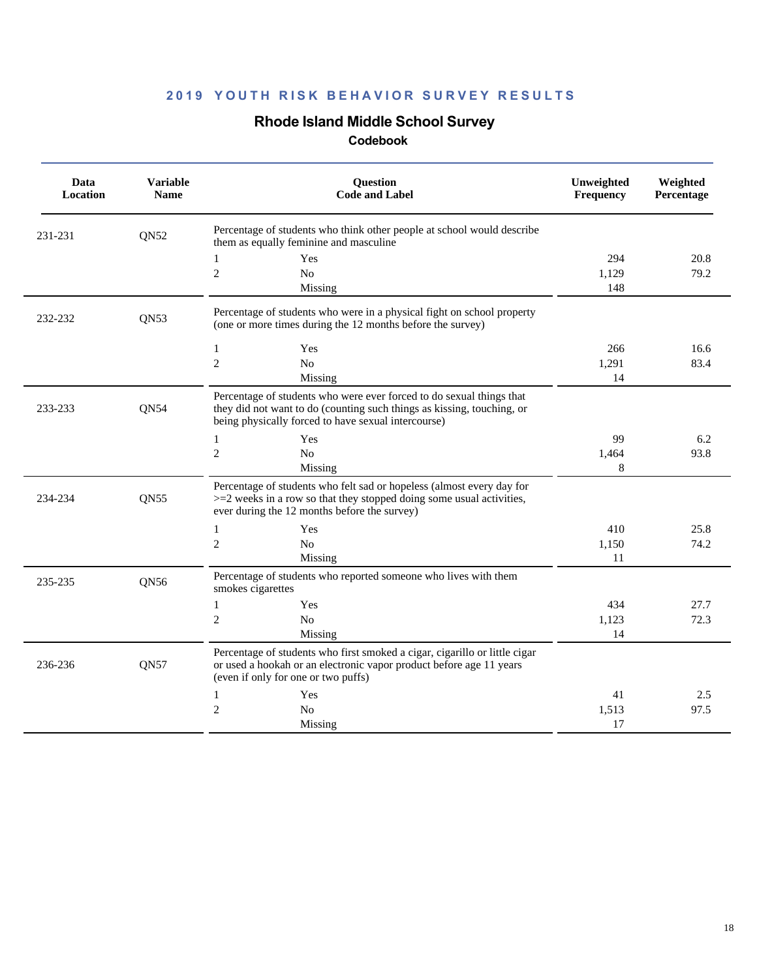# **Rhode Island Middle School Survey**

| Data<br>Location | <b>Variable</b><br><b>Name</b> | <b>Question</b><br><b>Code and Label</b>                                                                                                                                                              | Unweighted<br>Frequency | Weighted<br>Percentage |
|------------------|--------------------------------|-------------------------------------------------------------------------------------------------------------------------------------------------------------------------------------------------------|-------------------------|------------------------|
| 231-231          | <b>ON52</b>                    | Percentage of students who think other people at school would describe<br>them as equally feminine and masculine                                                                                      |                         |                        |
|                  |                                | Yes<br>$\mathbf{1}$                                                                                                                                                                                   | 294                     | 20.8                   |
|                  |                                | $\overline{c}$<br>No                                                                                                                                                                                  | 1,129                   | 79.2                   |
|                  |                                | Missing                                                                                                                                                                                               | 148                     |                        |
| 232-232          | QN <sub>53</sub>               | Percentage of students who were in a physical fight on school property<br>(one or more times during the 12 months before the survey)                                                                  |                         |                        |
|                  |                                | $\mathbf{1}$<br>Yes                                                                                                                                                                                   | 266                     | 16.6                   |
|                  |                                | $\mathfrak{2}$<br>No                                                                                                                                                                                  | 1,291                   | 83.4                   |
|                  |                                | Missing                                                                                                                                                                                               | 14                      |                        |
| 233-233          | QN54                           | Percentage of students who were ever forced to do sexual things that<br>they did not want to do (counting such things as kissing, touching, or<br>being physically forced to have sexual intercourse) |                         |                        |
|                  |                                | Yes<br>$\mathbf{1}$                                                                                                                                                                                   | 99                      | 6.2                    |
|                  |                                | $\overline{c}$<br>N <sub>0</sub>                                                                                                                                                                      | 1,464                   | 93.8                   |
|                  |                                | Missing                                                                                                                                                                                               | 8                       |                        |
| 234-234          | QN <sub>55</sub>               | Percentage of students who felt sad or hopeless (almost every day for<br>$>=$ 2 weeks in a row so that they stopped doing some usual activities,<br>ever during the 12 months before the survey)      |                         |                        |
|                  |                                | $\mathbf{1}$<br>Yes                                                                                                                                                                                   | 410                     | 25.8                   |
|                  |                                | $\mathfrak{2}$<br>N <sub>o</sub>                                                                                                                                                                      | 1,150                   | 74.2                   |
|                  |                                | Missing                                                                                                                                                                                               | 11                      |                        |
| 235-235          | QN56                           | Percentage of students who reported someone who lives with them<br>smokes cigarettes                                                                                                                  |                         |                        |
|                  |                                | $\mathbf{1}$<br>Yes                                                                                                                                                                                   | 434                     | 27.7                   |
|                  |                                | $\mathfrak{2}$<br>No                                                                                                                                                                                  | 1,123                   | 72.3                   |
|                  |                                | Missing                                                                                                                                                                                               | 14                      |                        |
| 236-236          | QN57                           | Percentage of students who first smoked a cigar, cigarillo or little cigar<br>or used a hookah or an electronic vapor product before age 11 years<br>(even if only for one or two puffs)              |                         |                        |
|                  |                                | Yes<br>1                                                                                                                                                                                              | 41                      | 2.5                    |
|                  |                                | $\overline{2}$<br>N <sub>0</sub>                                                                                                                                                                      | 1,513                   | 97.5                   |
|                  |                                | Missing                                                                                                                                                                                               | 17                      |                        |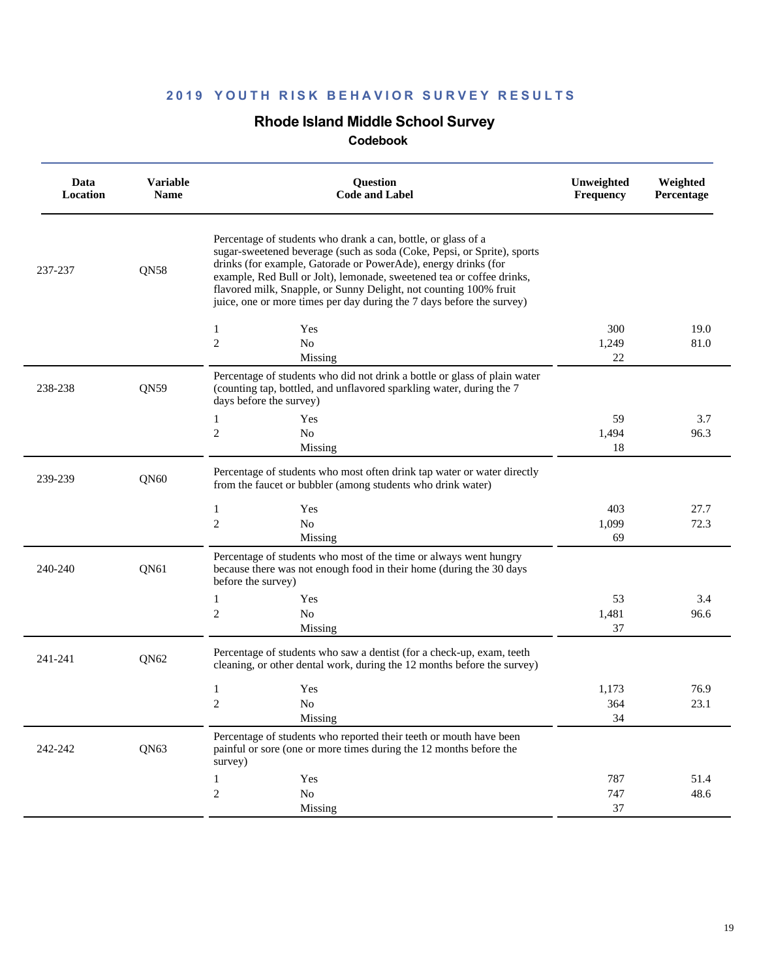## **Rhode Island Middle School Survey**

| Data<br>Location | <b>Variable</b><br><b>Name</b> | Question<br><b>Code and Label</b>                                                                                                                                                                                                                                                                                                                                                                                                 | Unweighted<br>Frequency | Weighted<br>Percentage |
|------------------|--------------------------------|-----------------------------------------------------------------------------------------------------------------------------------------------------------------------------------------------------------------------------------------------------------------------------------------------------------------------------------------------------------------------------------------------------------------------------------|-------------------------|------------------------|
| 237-237          | QN58                           | Percentage of students who drank a can, bottle, or glass of a<br>sugar-sweetened beverage (such as soda (Coke, Pepsi, or Sprite), sports<br>drinks (for example, Gatorade or PowerAde), energy drinks (for<br>example, Red Bull or Jolt), lemonade, sweetened tea or coffee drinks,<br>flavored milk, Snapple, or Sunny Delight, not counting 100% fruit<br>juice, one or more times per day during the 7 days before the survey) |                         |                        |
|                  |                                | Yes<br>1                                                                                                                                                                                                                                                                                                                                                                                                                          | 300                     | 19.0                   |
|                  |                                | $\overline{c}$<br>N <sub>o</sub>                                                                                                                                                                                                                                                                                                                                                                                                  | 1,249                   | 81.0                   |
|                  |                                | Missing                                                                                                                                                                                                                                                                                                                                                                                                                           | 22                      |                        |
| 238-238          | QN59                           | Percentage of students who did not drink a bottle or glass of plain water<br>(counting tap, bottled, and unflavored sparkling water, during the 7<br>days before the survey)                                                                                                                                                                                                                                                      |                         |                        |
|                  |                                | 1<br>Yes                                                                                                                                                                                                                                                                                                                                                                                                                          | 59                      | 3.7                    |
|                  |                                | 2<br>N <sub>o</sub>                                                                                                                                                                                                                                                                                                                                                                                                               | 1,494                   | 96.3                   |
|                  |                                | Missing                                                                                                                                                                                                                                                                                                                                                                                                                           | 18                      |                        |
| 239-239          | QN <sub>60</sub>               | Percentage of students who most often drink tap water or water directly<br>from the faucet or bubbler (among students who drink water)                                                                                                                                                                                                                                                                                            |                         |                        |
|                  |                                | $\mathbf{1}$<br>Yes                                                                                                                                                                                                                                                                                                                                                                                                               | 403                     | 27.7                   |
|                  |                                | $\mathfrak{2}$<br>N <sub>o</sub>                                                                                                                                                                                                                                                                                                                                                                                                  | 1,099                   | 72.3                   |
|                  |                                | Missing                                                                                                                                                                                                                                                                                                                                                                                                                           | 69                      |                        |
| 240-240          | QN61                           | Percentage of students who most of the time or always went hungry<br>because there was not enough food in their home (during the 30 days<br>before the survey)                                                                                                                                                                                                                                                                    |                         |                        |
|                  |                                | $\mathbf{1}$<br>Yes                                                                                                                                                                                                                                                                                                                                                                                                               | 53                      | 3.4                    |
|                  |                                | 2<br>No                                                                                                                                                                                                                                                                                                                                                                                                                           | 1,481                   | 96.6                   |
|                  |                                | Missing                                                                                                                                                                                                                                                                                                                                                                                                                           | 37                      |                        |
| 241-241          | QN62                           | Percentage of students who saw a dentist (for a check-up, exam, teeth<br>cleaning, or other dental work, during the 12 months before the survey)                                                                                                                                                                                                                                                                                  |                         |                        |
|                  |                                | 1<br>Yes                                                                                                                                                                                                                                                                                                                                                                                                                          | 1,173                   | 76.9                   |
|                  |                                | $\mathfrak{2}$<br>N <sub>0</sub>                                                                                                                                                                                                                                                                                                                                                                                                  | 364                     | 23.1                   |
|                  |                                | Missing                                                                                                                                                                                                                                                                                                                                                                                                                           | 34                      |                        |
| 242-242          | QN63                           | Percentage of students who reported their teeth or mouth have been<br>painful or sore (one or more times during the 12 months before the<br>survey)                                                                                                                                                                                                                                                                               |                         |                        |
|                  |                                | Yes<br>1                                                                                                                                                                                                                                                                                                                                                                                                                          | 787                     | 51.4                   |
|                  |                                | $\mathbf{2}$<br>No                                                                                                                                                                                                                                                                                                                                                                                                                | 747                     | 48.6                   |
|                  |                                | Missing                                                                                                                                                                                                                                                                                                                                                                                                                           | $37\,$                  |                        |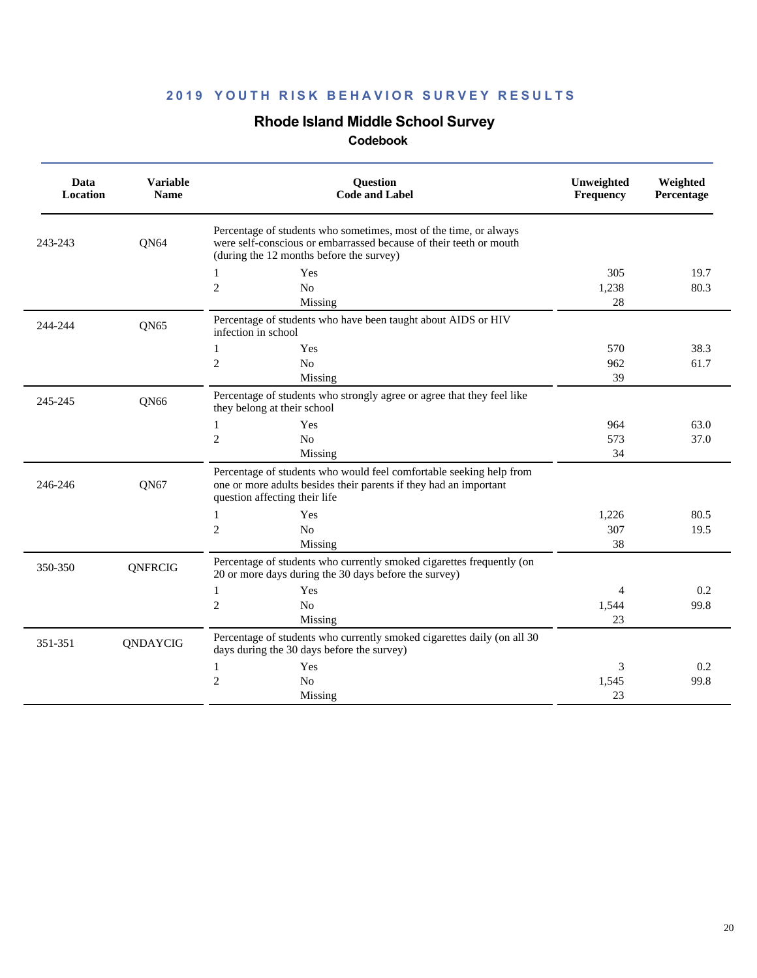## **Rhode Island Middle School Survey**

| Data<br>Location | <b>Variable</b><br><b>Name</b> | <b>Ouestion</b><br><b>Code and Label</b>                                                                                                                                            | Unweighted<br><b>Frequency</b> | Weighted<br>Percentage |
|------------------|--------------------------------|-------------------------------------------------------------------------------------------------------------------------------------------------------------------------------------|--------------------------------|------------------------|
| 243-243          | QN64                           | Percentage of students who sometimes, most of the time, or always<br>were self-conscious or embarrassed because of their teeth or mouth<br>(during the 12 months before the survey) |                                |                        |
|                  |                                | Yes<br>1                                                                                                                                                                            | 305                            | 19.7                   |
|                  |                                | $\mathfrak{2}$<br>No                                                                                                                                                                | 1,238                          | 80.3                   |
|                  |                                | Missing                                                                                                                                                                             | 28                             |                        |
| 244-244          | QN65                           | Percentage of students who have been taught about AIDS or HIV<br>infection in school                                                                                                |                                |                        |
|                  |                                | Yes<br>1                                                                                                                                                                            | 570                            | 38.3                   |
|                  |                                | $\mathfrak{2}$<br>No                                                                                                                                                                | 962                            | 61.7                   |
|                  |                                | Missing                                                                                                                                                                             | 39                             |                        |
| 245-245          | QN66                           | Percentage of students who strongly agree or agree that they feel like<br>they belong at their school                                                                               |                                |                        |
|                  |                                | Yes<br>1                                                                                                                                                                            | 964                            | 63.0                   |
|                  |                                | $\overline{2}$<br>N <sub>o</sub>                                                                                                                                                    | 573                            | 37.0                   |
|                  |                                | Missing                                                                                                                                                                             | 34                             |                        |
| 246-246          | <b>ON67</b>                    | Percentage of students who would feel comfortable seeking help from<br>one or more adults besides their parents if they had an important<br>question affecting their life           |                                |                        |
|                  |                                | Yes<br>1                                                                                                                                                                            | 1,226                          | 80.5                   |
|                  |                                | $\mathfrak{2}$<br>No                                                                                                                                                                | 307                            | 19.5                   |
|                  |                                | Missing                                                                                                                                                                             | 38                             |                        |
| 350-350          | QNFRCIG                        | Percentage of students who currently smoked cigarettes frequently (on<br>20 or more days during the 30 days before the survey)                                                      |                                |                        |
|                  |                                | 1<br>Yes                                                                                                                                                                            | 4                              | 0.2                    |
|                  |                                | $\mathfrak{2}$<br>No                                                                                                                                                                | 1,544                          | 99.8                   |
|                  |                                | Missing                                                                                                                                                                             | 23                             |                        |
| 351-351          | QNDAYCIG                       | Percentage of students who currently smoked cigarettes daily (on all 30<br>days during the 30 days before the survey)                                                               |                                |                        |
|                  |                                | Yes<br>1                                                                                                                                                                            | 3                              | 0.2                    |
|                  |                                | $\mathfrak{2}$<br>No                                                                                                                                                                | 1,545                          | 99.8                   |
|                  |                                | Missing                                                                                                                                                                             | 23                             |                        |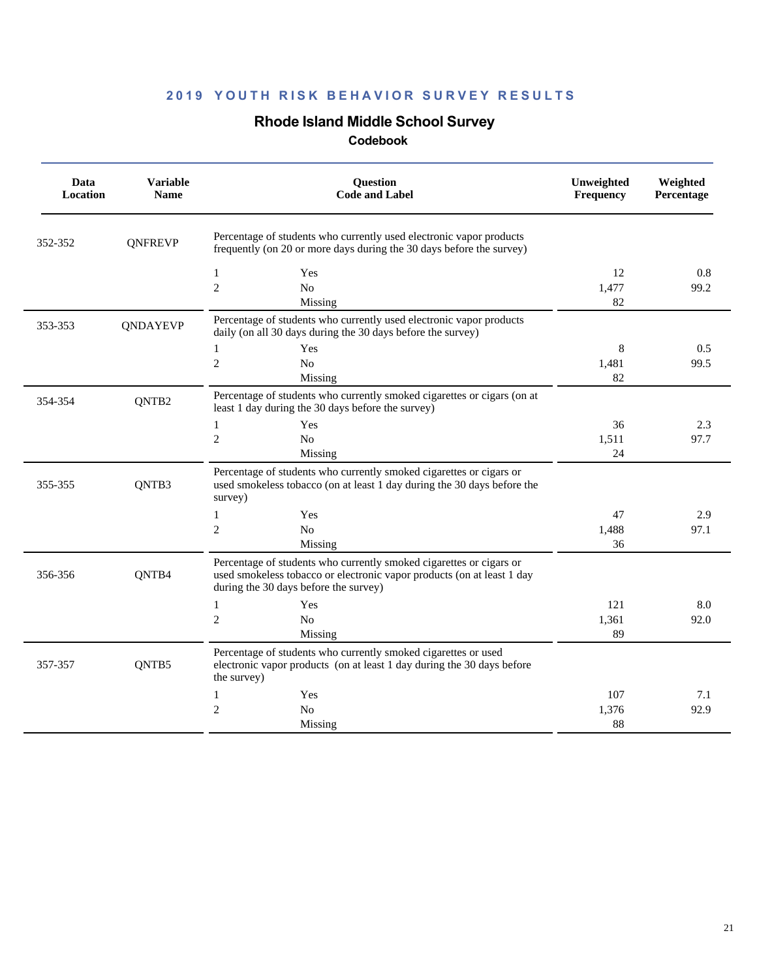## **Rhode Island Middle School Survey**

| Data<br>Location | <b>Variable</b><br><b>Name</b> | Question<br><b>Code and Label</b>                                                                                                                                                      | Unweighted<br>Frequency | Weighted<br>Percentage |
|------------------|--------------------------------|----------------------------------------------------------------------------------------------------------------------------------------------------------------------------------------|-------------------------|------------------------|
| 352-352          | <b>QNFREVP</b>                 | Percentage of students who currently used electronic vapor products<br>frequently (on 20 or more days during the 30 days before the survey)                                            |                         |                        |
|                  |                                | $\mathbf{1}$<br>Yes<br>$\overline{2}$<br>No<br>Missing                                                                                                                                 | 12<br>1,477<br>82       | 0.8<br>99.2            |
| 353-353          | QNDAYEVP                       | Percentage of students who currently used electronic vapor products<br>daily (on all 30 days during the 30 days before the survey)                                                     |                         |                        |
|                  |                                | $\mathbf{1}$<br>Yes<br>$\overline{2}$<br>No<br>Missing                                                                                                                                 | 8<br>1,481<br>82        | 0.5<br>99.5            |
| 354-354          | QNTB <sub>2</sub>              | Percentage of students who currently smoked cigarettes or cigars (on at<br>least 1 day during the 30 days before the survey)                                                           |                         |                        |
|                  |                                | Yes<br>$\mathbf{1}$<br>$\mathfrak{2}$<br>N <sub>o</sub><br>Missing                                                                                                                     | 36<br>1,511<br>24       | 2.3<br>97.7            |
| 355-355          | QNTB3                          | Percentage of students who currently smoked cigarettes or cigars or<br>used smokeless tobacco (on at least 1 day during the 30 days before the<br>survey)                              |                         |                        |
|                  |                                | Yes<br>1<br>$\overline{2}$<br>N <sub>o</sub><br>Missing                                                                                                                                | 47<br>1,488<br>36       | 2.9<br>97.1            |
| 356-356          | QNTB4                          | Percentage of students who currently smoked cigarettes or cigars or<br>used smokeless tobacco or electronic vapor products (on at least 1 day<br>during the 30 days before the survey) |                         |                        |
|                  |                                | $\mathbf{1}$<br>Yes<br>$\mathbf{2}$<br>No<br>Missing                                                                                                                                   | 121<br>1,361<br>89      | 8.0<br>92.0            |
| 357-357          | QNTB5                          | Percentage of students who currently smoked cigarettes or used<br>electronic vapor products (on at least 1 day during the 30 days before<br>the survey)                                |                         |                        |
|                  |                                | Yes<br>1<br>$\overline{2}$<br>N <sub>o</sub><br>Missing                                                                                                                                | 107<br>1,376<br>88      | 7.1<br>92.9            |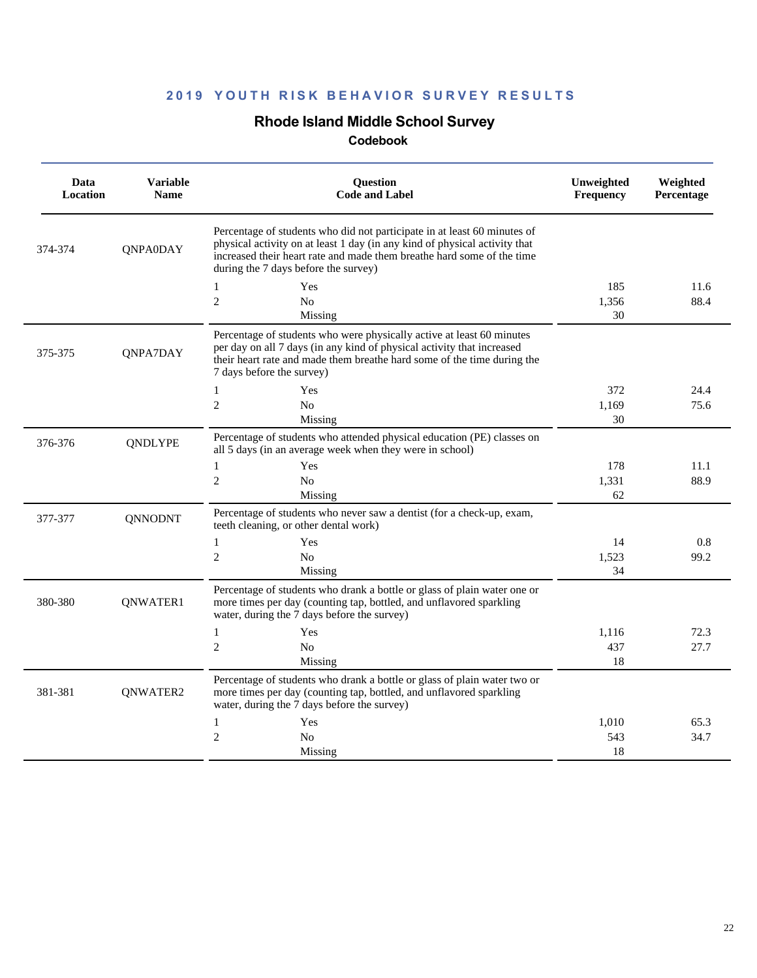## **Rhode Island Middle School Survey**

| Data<br><b>Location</b> | <b>Variable</b><br><b>Name</b> | <b>Question</b><br><b>Code and Label</b>                                                                                                                                                                                                                                 | Unweighted<br>Frequency | Weighted<br>Percentage |  |
|-------------------------|--------------------------------|--------------------------------------------------------------------------------------------------------------------------------------------------------------------------------------------------------------------------------------------------------------------------|-------------------------|------------------------|--|
| 374-374                 | <b>ONPA0DAY</b>                | Percentage of students who did not participate in at least 60 minutes of<br>physical activity on at least 1 day (in any kind of physical activity that<br>increased their heart rate and made them breathe hard some of the time<br>during the 7 days before the survey) |                         |                        |  |
|                         |                                | $\mathbf{1}$<br>Yes                                                                                                                                                                                                                                                      | 185                     | 11.6                   |  |
|                         |                                | $\overline{2}$<br>N <sub>0</sub>                                                                                                                                                                                                                                         | 1,356                   | 88.4                   |  |
|                         |                                | Missing                                                                                                                                                                                                                                                                  | 30                      |                        |  |
| 375-375                 | QNPA7DAY                       | Percentage of students who were physically active at least 60 minutes<br>per day on all 7 days (in any kind of physical activity that increased<br>their heart rate and made them breathe hard some of the time during the<br>7 days before the survey)                  |                         |                        |  |
|                         |                                | $\mathbf{1}$<br>Yes                                                                                                                                                                                                                                                      | 372                     | 24.4                   |  |
|                         |                                | $\overline{c}$<br>No                                                                                                                                                                                                                                                     | 1,169                   | 75.6                   |  |
|                         |                                | Missing                                                                                                                                                                                                                                                                  | 30                      |                        |  |
| 376-376                 | <b>QNDLYPE</b>                 | Percentage of students who attended physical education (PE) classes on<br>all 5 days (in an average week when they were in school)                                                                                                                                       |                         |                        |  |
|                         |                                | $\mathbf{1}$<br>Yes                                                                                                                                                                                                                                                      | 178                     | 11.1                   |  |
|                         |                                | $\overline{c}$<br>N <sub>o</sub>                                                                                                                                                                                                                                         | 1,331                   | 88.9                   |  |
|                         |                                | Missing                                                                                                                                                                                                                                                                  | 62                      |                        |  |
| 377-377                 | <b>QNNODNT</b>                 | Percentage of students who never saw a dentist (for a check-up, exam,<br>teeth cleaning, or other dental work)                                                                                                                                                           |                         |                        |  |
|                         |                                | $\mathbf{1}$<br>Yes                                                                                                                                                                                                                                                      | 14                      | 0.8                    |  |
|                         |                                | $\overline{2}$<br>N <sub>o</sub>                                                                                                                                                                                                                                         | 1,523                   | 99.2                   |  |
|                         |                                | Missing                                                                                                                                                                                                                                                                  | 34                      |                        |  |
| 380-380                 | QNWATER1                       | Percentage of students who drank a bottle or glass of plain water one or<br>more times per day (counting tap, bottled, and unflavored sparkling<br>water, during the 7 days before the survey)                                                                           |                         |                        |  |
|                         |                                | $\mathbf{1}$<br>Yes                                                                                                                                                                                                                                                      | 1.116                   | 72.3                   |  |
|                         |                                | $\overline{2}$<br>N <sub>0</sub>                                                                                                                                                                                                                                         | 437                     | 27.7                   |  |
|                         |                                | Missing                                                                                                                                                                                                                                                                  | 18                      |                        |  |
| 381-381                 | QNWATER2                       | Percentage of students who drank a bottle or glass of plain water two or<br>more times per day (counting tap, bottled, and unflavored sparkling<br>water, during the 7 days before the survey)                                                                           |                         |                        |  |
|                         |                                | $\mathbf{1}$<br>Yes                                                                                                                                                                                                                                                      | 1,010                   | 65.3                   |  |
|                         |                                | $\overline{2}$<br>N <sub>0</sub>                                                                                                                                                                                                                                         | 543                     | 34.7                   |  |
|                         |                                | Missing                                                                                                                                                                                                                                                                  | 18                      |                        |  |
|                         |                                |                                                                                                                                                                                                                                                                          |                         |                        |  |